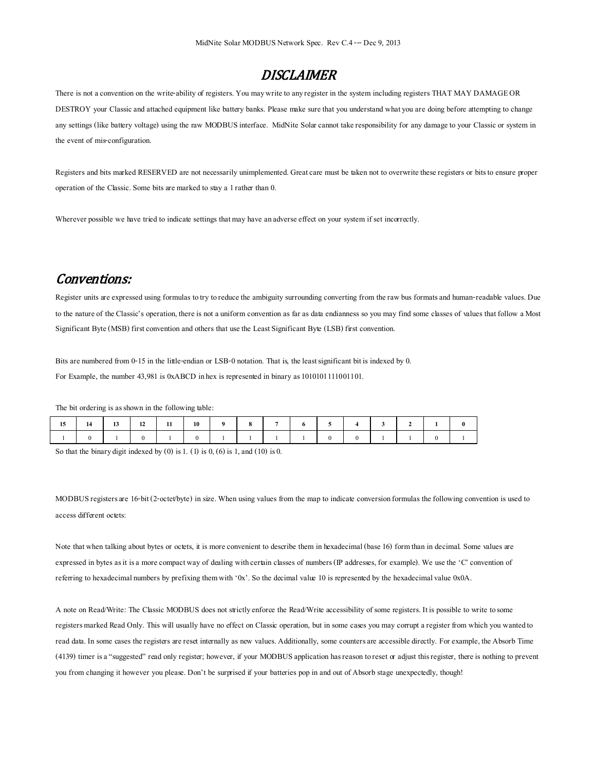## **DISCLAIMER**

There is not a convention on the write-ability of registers. You may write to any register in the system including registers THAT MAY DAMAGE OR DESTROY your Classic and attached equipment like battery banks. Please make sure that you understand what you are doing before attempting to change any settings (like battery voltage) using the raw MODBUS interface. MidNite Solar cannot take responsibility for any damage to your Classic or system in the event of mis-configuration.

Registers and bits marked RESERVED are not necessarily unimplemented. Great care must be taken not to overwrite these registers or bits to ensure proper operation of the Classic.Some bits are marked to stay a 1 rather than 0.

Wherever possible we have tried to indicate settings that may have an adverse effect on your system if set incorrectly.

## Conventions:

Register units are expressed using formulas to try to reduce the ambiguity surrounding converting from the raw bus formats and human-readable values. Due to the nature of the Classic's operation, there is not a uniform convention as far as data endianness so you may find some classes of values that follow a Most Significant Byte (MSB) first convention and others that use the Least Significant Byte (LSB) first convention.

Bits are numbered from 0-15 in the little-endian or LSB-0 notation. That is, the least significant bit is indexed by 0. For Example, the number 43,981 is 0xABCD in hex is represented in binary as  $1010101111001101$ .

The bit ordering is as shown in the following table:

| 15 | $14$   13   12   11   10   9 |  |  | $8 \quad \blacksquare$ | $\overline{7}$ | 6 | $15$ 4 3 |  |  |
|----|------------------------------|--|--|------------------------|----------------|---|----------|--|--|
|    |                              |  |  |                        |                |   |          |  |  |

So that the binary digit indexed by  $(0)$  is 1,  $(1)$  is 0,  $(6)$  is 1, and  $(10)$  is 0.

MODBUS registers are 16-bit (2-octet/byte) in size. When using values from the map to indicate conversion formulas the following convention is used to access different octets:

Note that when talking about bytes or octets, it is more convenient to describe them in hexadecimal (base 16) form than in decimal. Some values are expressed in bytes as it is a more compact way of dealing with certain classes of numbers (IP addresses, for example). We use the 'C' convention of referring to hexadecimal numbers by prefixing them with '0x'. So the decimal value 10 is represented by the hexadecimal value 0x0A.

A note on Read/Write: The Classic MODBUS does not strictly enforce the Read/Write accessibility of some registers. It is possible to write to some registers marked Read Only. This will usually have no effect on Classic operation, but in some cases you may corrupt a register from which you wanted to read data. In some cases the registers arereset internally as new values. Additionally, some counters are accessible directly. For example, the Absorb Time (4139) timer is a "suggested" read only register; however, if your MODBUS application has reason to reset or adjust this register, there is nothing to prevent you from changing it however you please. Don't be surprised if your batteries pop in and out of Absorb stage unexpectedly, though!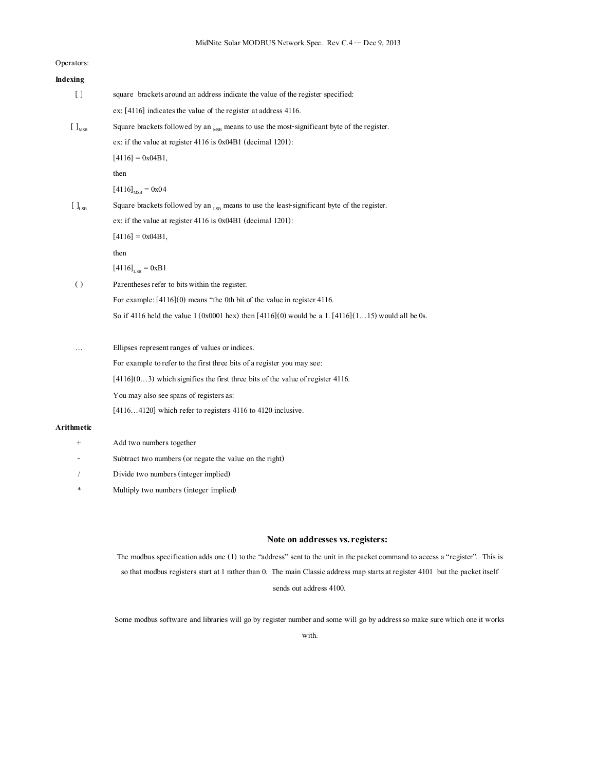Operators:

| Indexing                                              |                                                                                                        |  |  |  |  |
|-------------------------------------------------------|--------------------------------------------------------------------------------------------------------|--|--|--|--|
| $[ \ ]$                                               | square brackets around an address indicate the value of the register specified:                        |  |  |  |  |
|                                                       | ex: $[4116]$ indicates the value of the register at address 4116.                                      |  |  |  |  |
| $\left[\begin{array}{c} \end{array}\right]_{\rm MSB}$ | Square brackets followed by an $_{MSB}$ means to use the most-significant byte of the register.        |  |  |  |  |
|                                                       | ex: if the value at register $4116$ is $0x04B1$ (decimal 1201):                                        |  |  |  |  |
|                                                       | $[4116] = 0x04B1,$                                                                                     |  |  |  |  |
|                                                       | then                                                                                                   |  |  |  |  |
|                                                       | $[4116]_{MSB} = 0x04$                                                                                  |  |  |  |  |
| $[$ $]$ <sub>LSB</sub>                                | Square brackets followed by an $_{LSB}$ means to use the least-significant byte of the register.       |  |  |  |  |
|                                                       | ex: if the value at register $4116$ is $0x04B1$ (decimal 1201):                                        |  |  |  |  |
|                                                       | $[4116] = 0x04B1,$                                                                                     |  |  |  |  |
|                                                       | then                                                                                                   |  |  |  |  |
|                                                       | $[4116]_{LSB} = 0xB1$                                                                                  |  |  |  |  |
| $\left( \right)$                                      | Parentheses refer to bits within the register.                                                         |  |  |  |  |
|                                                       | For example: $[4116](0)$ means "the 0th bit of the value in register 4116.                             |  |  |  |  |
|                                                       | So if 4116 held the value 1 (0x0001 hex) then $[4116](0)$ would be a 1. $[4116](115)$ would all be 0s. |  |  |  |  |
|                                                       | Ellipses represent ranges of values or indices.                                                        |  |  |  |  |
|                                                       | For example to refer to the first three bits of a register you may see:                                |  |  |  |  |
|                                                       | $[4116](03)$ which signifies the first three bits of the value of register 4116.                       |  |  |  |  |
|                                                       | You may also see spans of registers as:                                                                |  |  |  |  |
|                                                       | [41164120] which refer to registers 4116 to 4120 inclusive.                                            |  |  |  |  |
|                                                       |                                                                                                        |  |  |  |  |

#### **Arithmetic**

- + Add two numbers together
- Subtract two numbers (or negate the value on the right)
- / Divide two numbers(integer implied)
- \* Multiply two numbers (integer implied)

#### Note on addresses vs. registers:

The modbus specification adds one (1) to the "address" sent to the unit in the packet command to access a "register". This is so that modbus registers start at 1 rather than 0. The main Classic address map starts at register 4101 but the packet itself sends out address 4100.

Some modbus software and libraries will go by register number and some will go by address so make sure which one it works

with.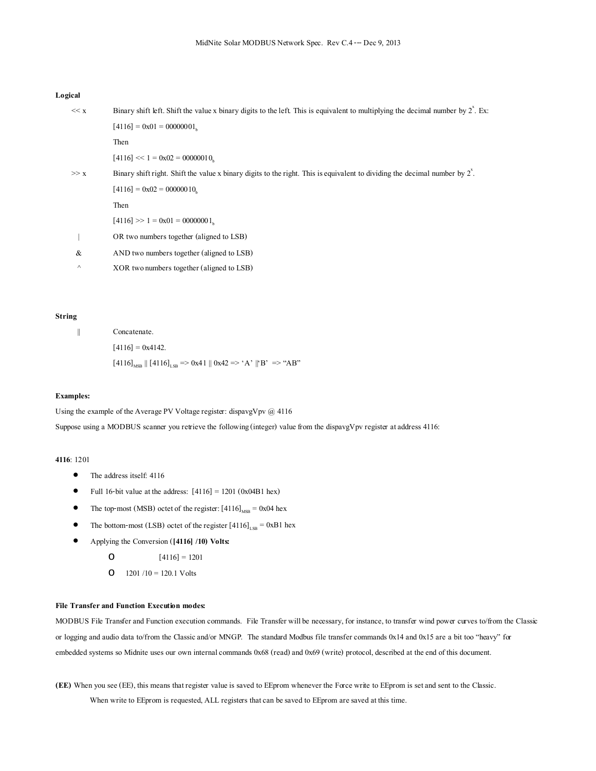#### **Logical**

| << x     | Binary shift left. Shift the value x binary digits to the left. This is equivalent to multiplying the decimal number by $2^x$ . Ex:   |
|----------|---------------------------------------------------------------------------------------------------------------------------------------|
|          | $[4116] = 0 \times 01 = 00000001$ ,                                                                                                   |
|          | Then                                                                                                                                  |
|          | $[4116] \ll 1 = 0 \times 02 = 00000010.$                                                                                              |
| >> x     | Binary shift right. Shift the value x binary digits to the right. This is equivalent to dividing the decimal number by $2^{\hat{}}$ . |
|          | $[4116] = 0 \times 02 = 00000010$                                                                                                     |
|          | Then                                                                                                                                  |
|          | $[4116] >> 1 = 0 \times 01 = 00000001$                                                                                                |
|          | OR two numbers together (aligned to LSB)                                                                                              |
| &        | AND two numbers together (aligned to LSB)                                                                                             |
| $\wedge$ | XOR two numbers together (aligned to LSB)                                                                                             |

#### **String**

|| Concatenate.

 $[4116] = 0x4142.$ 

 $[4116]_{\text{MSB}}$  ||  $[4116]_{\text{LSB}} \Rightarrow 0x41$  ||  $0x42 \Rightarrow 'A'$  || $'B' \Rightarrow 'AB'$ 

#### **Examples:**

Using the example of the Average PV Voltage register: dispavgVpv @ 4116

Suppose using a MODBUS scanner you retrieve the following (integer) value from the dispavgVpv register at address 4116:

### **4116**: 1201

- The address itself: 4116
- Full 16-bit value at the address:  $[4116] = 1201$  (0x04B1 hex)
- The top-most (MSB) octet of the register:  $[4116]_{MSB} = 0x04$  hex
- The bottom-most (LSB) octet of the register  $[4116]_{LSB} = 0xB1$  hex
- Applying the Conversion (**[4116] /10) Volts:**
	- O  $[4116] = 1201$
	- O  $1201 / 10 = 120.1$  Volts

#### **File Transfer and Function Execution modes:**

MODBUS File Transfer and Function execution commands. File Transfer will be necessary, for instance, to transfer wind power curves to/from the Classic or logging and audio data to/from the Classic and/or MNGP. The standard Modbus file transfer commands 0x14 and 0x15 are a bit too "heavy" for embedded systems so Midnite uses our own internal commands 0x68 (read) and 0x69 (write) protocol, described at the end of this document.

**(EE)** When you see (EE), this means that register value is saved to EEprom whenever the Force write to EEprom is set and sent to the Classic.

When write to EEprom is requested, ALL registers that can be saved to EEprom are saved at this time.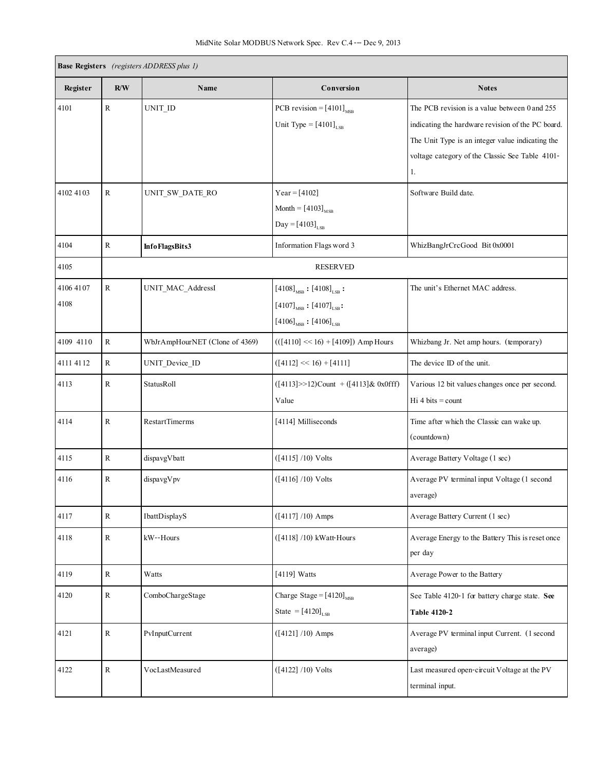| <b>Base Registers</b> (registers ADDRESS plus 1) |             |                                |                                                                                                                                                 |                                                                                                                                                                                                                 |  |  |
|--------------------------------------------------|-------------|--------------------------------|-------------------------------------------------------------------------------------------------------------------------------------------------|-----------------------------------------------------------------------------------------------------------------------------------------------------------------------------------------------------------------|--|--|
| Register                                         | R/W         | Name                           | Conversion                                                                                                                                      | <b>Notes</b>                                                                                                                                                                                                    |  |  |
| 4101                                             | ${\bf R}$   | UNIT_ID                        | PCB revision = $[4101]_{MSR}$<br>Unit Type = $[4101]_{LSB}$                                                                                     | The PCB revision is a value between 0 and 255<br>indicating the hardware revision of the PC board.<br>The Unit Type is an integer value indicating the<br>voltage category of the Classic See Table 4101-<br>1. |  |  |
| 4102 4103                                        | R           | UNIT SW DATE RO                | $Year = [4102]$<br>Month = $[4103]_{MSB}$<br>$Day = [4103]_{LSB}$                                                                               | Software Build date.                                                                                                                                                                                            |  |  |
| 4104                                             | $\mathbf R$ | Info FlagsBits3                | Information Flags word 3                                                                                                                        | WhizBangJrCrcGood Bit 0x0001                                                                                                                                                                                    |  |  |
| 4105                                             |             |                                | <b>RESERVED</b>                                                                                                                                 |                                                                                                                                                                                                                 |  |  |
| 4106 4107<br>4108                                | $\mathbf R$ | UNIT_MAC_AddressI              | $[4108]_{MSB} : [4108]_{LSB}$ :<br>$[4107]_{\text{\tiny{MSB}}}$ : $[4107]_{\text{\tiny{LSB}}}$ :<br>$[4106]_{\text{MSB}} : [4106]_{\text{LSB}}$ | The unit's Ethernet MAC address.                                                                                                                                                                                |  |  |
| 4109 4110                                        | $\mathbf R$ | WbJrAmpHourNET (Clone of 4369) | $(([4110] \ll 16) + [4109])$ Amp Hours                                                                                                          | Whizbang Jr. Net amp hours. (temporary)                                                                                                                                                                         |  |  |
| 4111 4112                                        | R           | UNIT_Device_ID                 | $([4112] \ll 16) + [4111]$                                                                                                                      | The device ID of the unit.                                                                                                                                                                                      |  |  |
| 4113                                             | $\mathbf R$ | StatusRoll                     | $([4113]>>12)$ Count + $([4113]$ & 0x0fff)<br>Value                                                                                             | Various 12 bit values changes once per second.<br>$Hi 4 bits = count$                                                                                                                                           |  |  |
| 4114                                             | R           | <b>RestartTimerms</b>          | [4114] Milliseconds                                                                                                                             | Time after which the Classic can wake up.<br>(countdown)                                                                                                                                                        |  |  |
| 4115                                             | ${\bf R}$   | dispavgVbatt                   | $([4115] / 10)$ Volts                                                                                                                           | Average Battery Voltage (1 sec)                                                                                                                                                                                 |  |  |
| 4116                                             | R           | dispavgVpv                     | $([4116] / 10)$ Volts                                                                                                                           | Average PV terminal input Voltage (1 second<br>average)                                                                                                                                                         |  |  |
| 4117                                             | $\mathbb R$ | IbattDisplayS                  | $([4117] / 10)$ Amps                                                                                                                            | Average Battery Current (1 sec)                                                                                                                                                                                 |  |  |
| 4118                                             | $\mathbb R$ | kW--Hours                      | $([4118] / 10)$ kWatt-Hours                                                                                                                     | Average Energy to the Battery This is reset once<br>per day                                                                                                                                                     |  |  |
| 4119                                             | $\mathbb R$ | Watts                          | $[4119]$ Watts                                                                                                                                  | Average Power to the Battery                                                                                                                                                                                    |  |  |
| 4120                                             | $\rm R$     | ComboChargeStage               | Charge Stage = $[4120]_{MSB}$<br>State = $[4120]_{LSB}$                                                                                         | See Table 4120-1 for battery charge state. See<br>Table 4120-2                                                                                                                                                  |  |  |
| 4121                                             | ${\bf R}$   | PvInputCurrent                 | $([4121] / 10)$ Amps                                                                                                                            | Average PV terminal input Current. (1 second<br>average)                                                                                                                                                        |  |  |
| 4122                                             | ${\bf R}$   | VocLastMeasured                | $([4122] / 10)$ Volts                                                                                                                           | Last measured open-circuit Voltage at the PV<br>terminal input.                                                                                                                                                 |  |  |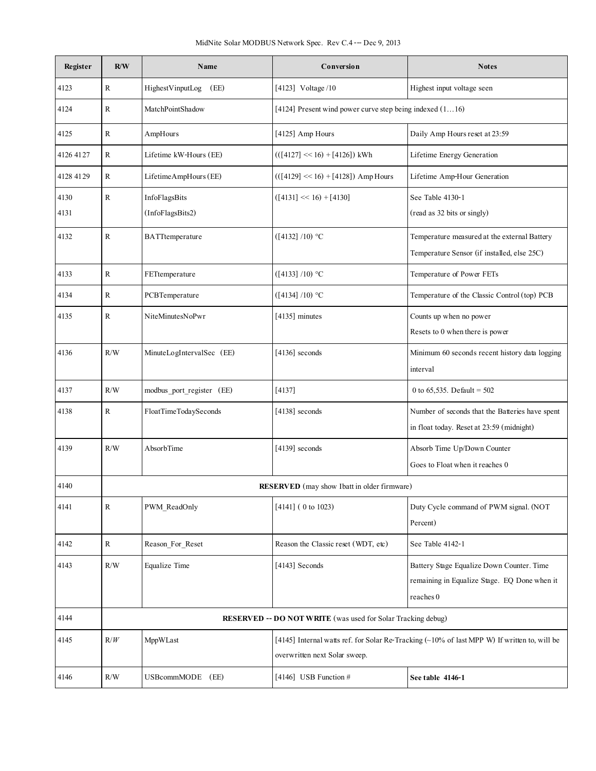| Register     | R/W                                                                                                                                              | Name                              | Conversion                                                   | <b>Notes</b>                                                                                           |
|--------------|--------------------------------------------------------------------------------------------------------------------------------------------------|-----------------------------------|--------------------------------------------------------------|--------------------------------------------------------------------------------------------------------|
| 4123         | R                                                                                                                                                | HighestVinputLog<br>(EE)          | [4123] Voltage /10                                           | Highest input voltage seen                                                                             |
| 4124         | R                                                                                                                                                | MatchPointShadow                  | [4124] Present wind power curve step being indexed $(116)$   |                                                                                                        |
| 4125         | R                                                                                                                                                | AmpHours                          | [4125] Amp Hours                                             | Daily Amp Hours reset at 23:59                                                                         |
| 4126 4127    | R                                                                                                                                                | Lifetime kW-Hours (EE)            | $(([4127] \ll 16) + [4126])$ kWh                             | Lifetime Energy Generation                                                                             |
| 4128 4129    | $\rm R$                                                                                                                                          | LifetimeAmpHours (EE)             | $(([4129] \ll 16) + [4128])$ Amp Hours                       | Lifetime Amp-Hour Generation                                                                           |
| 4130<br>4131 | $\mathbf R$                                                                                                                                      | InfoFlagsBits<br>(InfoFlagsBits2) | $([4131] \ll 16) + [4130]$                                   | See Table 4130-1<br>(read as 32 bits or singly)                                                        |
| 4132         | ${\bf R}$                                                                                                                                        | BATTtemperature                   | ([4132] / 10) °C                                             | Temperature measured at the external Battery<br>Temperature Sensor (if installed, else 25C)            |
| 4133         | $\mathbb{R}$                                                                                                                                     | FETtemperature                    | ([4133] / 10) °C                                             | Temperature of Power FETs                                                                              |
| 4134         | R                                                                                                                                                | PCBTemperature                    | ([4134] / 10) °C                                             | Temperature of the Classic Control (top) PCB                                                           |
| 4135         | $\mathbb{R}$                                                                                                                                     | NiteMinutesNoPwr                  | $[4135]$ minutes                                             | Counts up when no power<br>Resets to 0 when there is power                                             |
| 4136         | R/W                                                                                                                                              | MinuteLogIntervalSec (EE)         | $[4136]$ seconds                                             | Minimum 60 seconds recent history data logging<br>interval                                             |
| 4137         | R/W                                                                                                                                              | modbus_port_register (EE)         | [4137]                                                       | 0 to 65,535. Default = $502$                                                                           |
| 4138         | R                                                                                                                                                | FloatTimeTodaySeconds             | $[4138]$ seconds                                             | Number of seconds that the Batteries have spent<br>in float today. Reset at 23:59 (midnight)           |
| 4139         | R/W                                                                                                                                              | AbsorbTime                        | $[4139]$ seconds                                             | Absorb Time Up/Down Counter<br>Goes to Float when it reaches 0                                         |
| 4140         |                                                                                                                                                  |                                   | <b>RESERVED</b> (may show Ibatt in older firmware)           |                                                                                                        |
| 4141         | R                                                                                                                                                | PWM_ReadOnly                      | [4141] ( 0 to 1023)                                          | Duty Cycle command of PWM signal. (NOT<br>Percent)                                                     |
| 4142         | $\mathbf R$                                                                                                                                      | Reason For Reset                  | Reason the Classic reset (WDT, etc)                          | See Table 4142-1                                                                                       |
| 4143         | R/W                                                                                                                                              | Equalize Time                     | $[4143]$ Seconds                                             | Battery Stage Equalize Down Counter. Time<br>remaining in Equalize Stage. EQ Done when it<br>reaches 0 |
| 4144         |                                                                                                                                                  |                                   | RESERVED -- DO NOT WRITE (was used for Solar Tracking debug) |                                                                                                        |
| 4145         | [4145] Internal watts ref. for Solar Re-Tracking (~10% of last MPP W) If written to, will be<br>R/W<br>MppWLast<br>overwritten next Solar sweep. |                                   |                                                              |                                                                                                        |
| 4146         | R/W                                                                                                                                              | USBcommMODE (EE)                  | [4146] USB Function $#$                                      | See table 4146-1                                                                                       |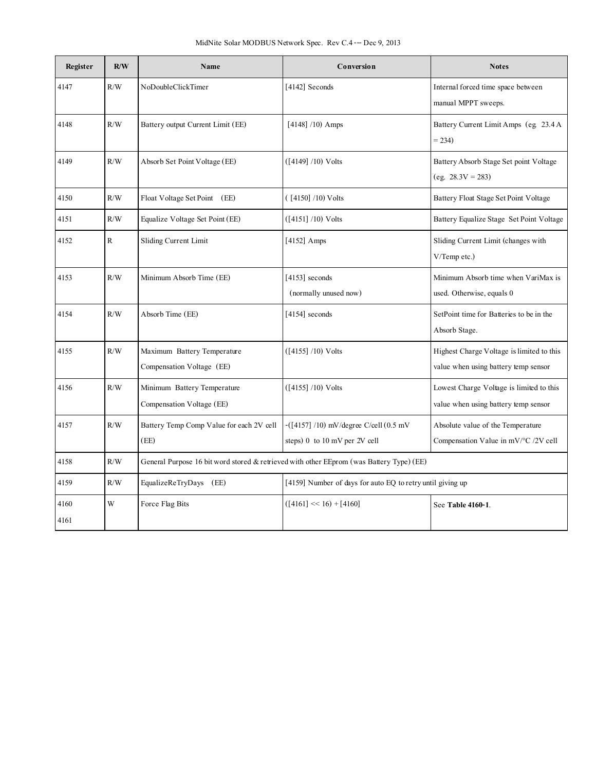| Register     | R/W | Name                                                     | Conversion                                                                               | <b>Notes</b>                                                                      |
|--------------|-----|----------------------------------------------------------|------------------------------------------------------------------------------------------|-----------------------------------------------------------------------------------|
| 4147         | R/W | NoDoubleClickTimer                                       | [4142] Seconds                                                                           | Internal forced time space between<br>manual MPPT sweeps.                         |
| 4148         | R/W | Battery output Current Limit (EE)                        | $[4148]$ /10) Amps                                                                       | Battery Current Limit Amps (eg. 23.4 A<br>$= 234$                                 |
| 4149         | R/W | Absorb Set Point Voltage (EE)                            | $([4149] / 10)$ Volts                                                                    | Battery Absorb Stage Set point Voltage<br>$(eg. 28.3V = 283)$                     |
| 4150         | R/W | Float Voltage Set Point (EE)                             | $( [4150] / 10)$ Volts                                                                   | Battery Float Stage Set Point Voltage                                             |
| 4151         | R/W | Equalize Voltage Set Point (EE)                          | $([4151] / 10)$ Volts                                                                    | Battery Equalize Stage Set Point Voltage                                          |
| 4152         | R   | Sliding Current Limit                                    | [4152] Amps                                                                              | Sliding Current Limit (changes with<br>V/Temp etc.)                               |
| 4153         | R/W | Minimum Absorb Time (EE)                                 | [4153] seconds<br>(normally unused now)                                                  | Minimum Absorb time when VariMax is<br>used. Otherwise, equals 0                  |
| 4154         | R/W | Absorb Time (EE)                                         | $[4154]$ seconds                                                                         | SetPoint time for Batteries to be in the<br>Absorb Stage.                         |
| 4155         | R/W | Maximum Battery Temperature<br>Compensation Voltage (EE) | $([4155] / 10)$ Volts                                                                    | Highest Charge Voltage is limited to this<br>value when using battery temp sensor |
| 4156         | R/W | Minimum Battery Temperature<br>Compensation Voltage (EE) | $([4155] / 10)$ Volts                                                                    | Lowest Charge Voltage is limited to this<br>value when using battery temp sensor  |
| 4157         | R/W | Battery Temp Comp Value for each 2V cell<br>(EE)         | $-([4157] / 10)$ mV/degree C/cell $(0.5$ mV<br>steps) 0 to 10 mV per 2V cell             | Absolute value of the Temperature<br>Compensation Value in mV/°C /2V cell         |
| 4158         | R/W |                                                          | General Purpose 16 bit word stored & retrieved with other EEprom (was Battery Type) (EE) |                                                                                   |
| 4159         | R/W | EqualizeReTryDays (EE)                                   | [4159] Number of days for auto EQ to retry until giving up                               |                                                                                   |
| 4160<br>4161 | W   | Force Flag Bits                                          | $([4161] \ll 16) + [4160]$                                                               | See Table 4160-1.                                                                 |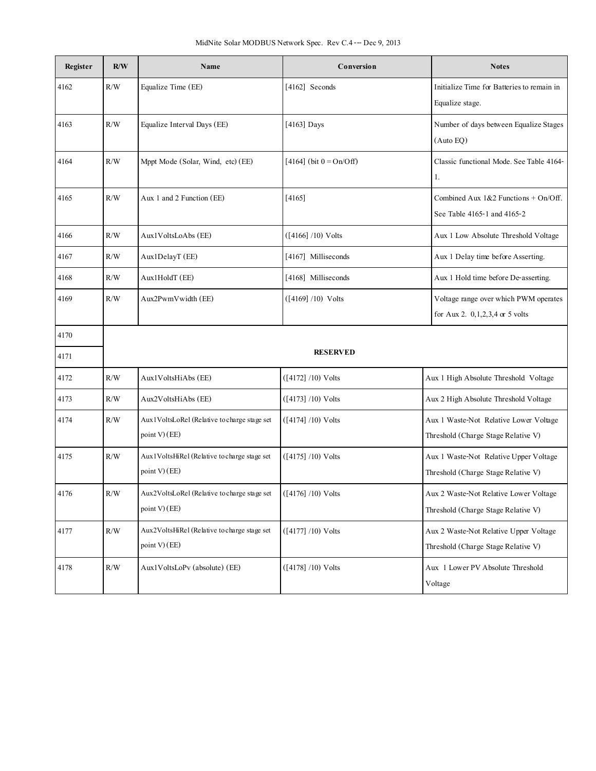| Register | R/W       | Conversion<br>Name                           |                            | <b>Notes</b>                               |
|----------|-----------|----------------------------------------------|----------------------------|--------------------------------------------|
| 4162     | R/W       | Equalize Time (EE)                           | [4162] Seconds             | Initialize Time for Batteries to remain in |
|          |           |                                              |                            | Equalize stage.                            |
| 4163     | R/W       | Equalize Interval Days (EE)                  | [4163] Days                | Number of days between Equalize Stages     |
|          |           |                                              |                            | (Auto EQ)                                  |
| 4164     | R/W       | Mppt Mode (Solar, Wind, etc) (EE)            | [4164] (bit $0 = On/Off$ ) | Classic functional Mode. See Table 4164-   |
|          |           |                                              |                            | 1.                                         |
| 4165     | R/W       | Aux 1 and 2 Function (EE)                    | [4165]                     | Combined Aux $1&2$ Functions + On/Off.     |
|          |           |                                              |                            | See Table 4165-1 and 4165-2                |
| 4166     | R/W       | Aux1VoltsLoAbs (EE)                          | $([4166] / 10)$ Volts      | Aux 1 Low Absolute Threshold Voltage       |
| 4167     | R/W       | Aux1DelayT (EE)                              | [4167] Milliseconds        | Aux 1 Delay time before Asserting.         |
| 4168     | R/W       | Aux1HoldT (EE)                               | [4168] Milliseconds        | Aux 1 Hold time before De-asserting.       |
| 4169     | R/W       | Aux2PwmVwidth (EE)                           | $([4169] / 10)$ Volts      | Voltage range over which PWM operates      |
|          |           |                                              |                            | for Aux 2. $0,1,2,3,4$ or 5 volts          |
| 4170     |           |                                              |                            |                                            |
| 4171     |           |                                              | <b>RESERVED</b>            |                                            |
| 4172     | R/W       | Aux1VoltsHiAbs (EE)                          | $([4172] / 10)$ Volts      | Aux 1 High Absolute Threshold Voltage      |
| 4173     | R/W       | Aux2VoltsHiAbs (EE)                          | $([4173] / 10)$ Volts      | Aux 2 High Absolute Threshold Voltage      |
| 4174     | R/W       | Aux1VoltsLoRel (Relative to charge stage set | $([4174] / 10)$ Volts      | Aux 1 Waste-Not Relative Lower Voltage     |
|          |           | point V) (EE)                                |                            | Threshold (Charge Stage Relative V)        |
| 4175     | R/W       | Aux1VoltsHiRel (Relative to charge stage set | $([4175] / 10)$ Volts      | Aux 1 Waste-Not Relative Upper Voltage     |
|          |           | point V) (EE)                                |                            | Threshold (Charge Stage Relative V)        |
| 4176     | $\rm R/W$ | Aux2VoltsLoRel (Relative to charge stage set | $([4176] / 10)$ Volts      | Aux 2 Waste-Not Relative Lower Voltage     |
|          |           | point V $(EE)$                               |                            | Threshold (Charge Stage Relative V)        |
| 4177     | $\rm R/W$ | Aux2VoltsHiRel (Relative to charge stage set | $([4177] / 10)$ Volts      | Aux 2 Waste-Not Relative Upper Voltage     |
|          |           | point $V$ ) (EE)                             |                            | Threshold (Charge Stage Relative V)        |
| 4178     | $\rm R/W$ | Aux1VoltsLoPy (absolute) (EE)                | $([4178] / 10)$ Volts      | Aux 1 Lower PV Absolute Threshold          |
|          |           |                                              |                            | Voltage                                    |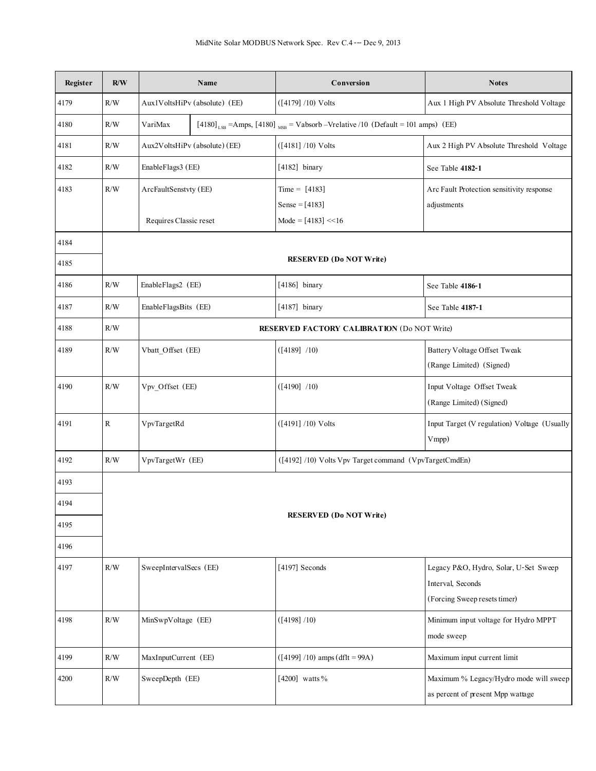| Register | R/W | Name                   |                               | Conversion                                                                                                | <b>Notes</b>                                          |
|----------|-----|------------------------|-------------------------------|-----------------------------------------------------------------------------------------------------------|-------------------------------------------------------|
| 4179     | R/W |                        | Aux1VoltsHiPv (absolute) (EE) | $([4179] / 10)$ Volts                                                                                     | Aux 1 High PV Absolute Threshold Voltage              |
| 4180     | R/W | VariMax                |                               | $[4180]$ <sub>LSB</sub> = Amps, [4180] <sub>MSB</sub> = Vabsorb - Vrelative /10 (Default = 101 amps) (EE) |                                                       |
| 4181     | R/W |                        | Aux2VoltsHiPv (absolute) (EE) | $([4181] / 10)$ Volts                                                                                     | Aux 2 High PV Absolute Threshold Voltage              |
| 4182     | R/W | EnableFlags3 (EE)      |                               | [4182] binary                                                                                             | See Table 4182-1                                      |
| 4183     | R/W | ArcFaultSenstvty (EE)  |                               | $Time = [4183]$                                                                                           | Arc Fault Protection sensitivity response             |
|          |     |                        |                               | Sense = $[4183]$                                                                                          | adjustments                                           |
|          |     | Requires Classic reset |                               | Mode = $[4183]$ < < 16                                                                                    |                                                       |
| 4184     |     |                        |                               |                                                                                                           |                                                       |
| 4185     |     |                        |                               | <b>RESERVED</b> (Do NOT Write)                                                                            |                                                       |
| 4186     | R/W | EnableFlags2 (EE)      |                               | [4186] binary                                                                                             | See Table 4186-1                                      |
| 4187     | R/W | EnableFlagsBits (EE)   |                               | $[4187]$ binary                                                                                           | See Table 4187-1                                      |
| 4188     | R/W |                        |                               | <b>RESERVED FACTORY CALIBRATION (Do NOT Write)</b>                                                        |                                                       |
| 4189     | R/W | Vbatt_Offset (EE)      |                               | $([4189]$ /10)                                                                                            | <b>Battery Voltage Offset Tweak</b>                   |
|          |     |                        |                               |                                                                                                           | (Range Limited) (Signed)                              |
| 4190     | R/W | Vpv_Offset (EE)        |                               | ([4190] / 10)                                                                                             | Input Voltage Offset Tweak                            |
|          |     |                        |                               |                                                                                                           | (Range Limited) (Signed)                              |
| 4191     | R   | VpvTargetRd            |                               | $([4191] / 10)$ Volts                                                                                     | Input Target (V regulation) Voltage (Usually<br>Vmpp) |
| 4192     | R/W | VpvTargetWr (EE)       |                               | ([4192] /10) Volts Vpv Target command (VpvTargetCmdEn)                                                    |                                                       |
| 4193     |     |                        |                               |                                                                                                           |                                                       |
| 4194     |     |                        |                               |                                                                                                           |                                                       |
| 4195     |     |                        |                               | <b>RESERVED (Do NOT Write)</b>                                                                            |                                                       |
| 4196     |     |                        |                               |                                                                                                           |                                                       |
| 4197     | R/W | SweepIntervalSecs (EE) |                               | [4197] Seconds                                                                                            | Legacy P&O, Hydro, Solar, U-Set Sweep                 |
|          |     |                        |                               |                                                                                                           | Interval, Seconds                                     |
|          |     |                        |                               |                                                                                                           | (Forcing Sweep resets timer)                          |
| 4198     | R/W | MinSwpVoltage (EE)     |                               | ([4198] / 10)                                                                                             | Minimum input voltage for Hydro MPPT                  |
|          |     |                        |                               |                                                                                                           | mode sweep                                            |
| 4199     | R/W | MaxInputCurrent (EE)   |                               | $([4199] / 10)$ amps (dflt = 99A)                                                                         | Maximum input current limit                           |
| 4200     | R/W | SweepDepth (EE)        |                               | [4200] watts %                                                                                            | Maximum % Legacy/Hydro mode will sweep                |
|          |     |                        |                               |                                                                                                           | as percent of present Mpp wattage                     |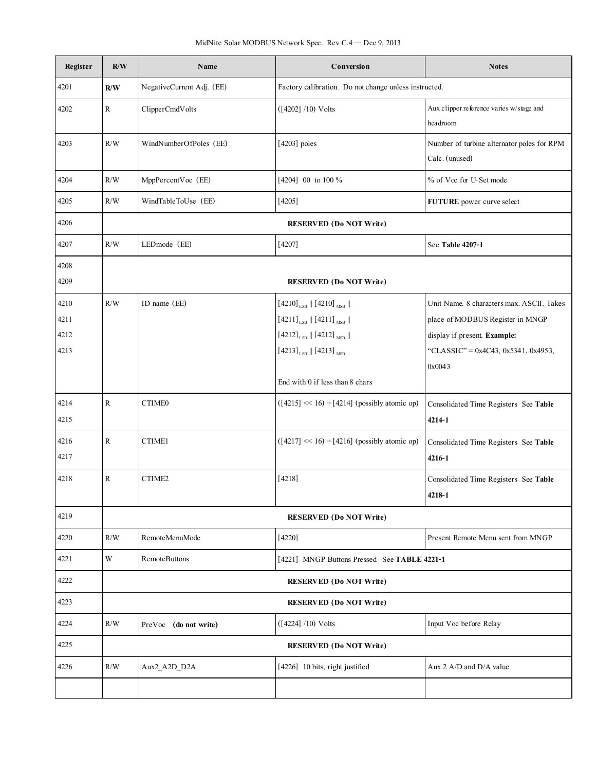| Register | R/W         | Name                      | Conversion                                                                       | <b>Notes</b>                                                 |
|----------|-------------|---------------------------|----------------------------------------------------------------------------------|--------------------------------------------------------------|
| 4201     | R/W         | NegativeCurrent Adj. (EE) | Factory calibration. Do not change unless instructed.                            |                                                              |
| 4202     | R           | ClipperCmdVolts           | $([4202] / 10)$ Volts                                                            | Aux clipper reference varies w/stage and<br>headroom         |
| 4203     | R/W         | WindNumberOfPoles (EE)    | $[4203]$ poles                                                                   | Number of turbine alternator poles for RPM<br>Calc. (unused) |
| 4204     | R/W         | MppPercentVoc (EE)        | $\left[4204\right]$ $\,$ 00 $\,$ to 100 $\%$                                     | % of Voc for U-Set mode                                      |
| 4205     | R/W         | WindTableToUse (EE)       | $[4205]$                                                                         | FUTURE power curve select                                    |
| 4206     |             |                           | <b>RESERVED</b> (Do NOT Write)                                                   |                                                              |
| 4207     | R/W         | LEDmode (EE)              | $[4207]$                                                                         | See Table 4207-1                                             |
| 4208     |             |                           |                                                                                  |                                                              |
| 4209     |             |                           | <b>RESERVED</b> (Do NOT Write)                                                   |                                                              |
| 4210     | R/W         | ID name (EE)              | $[4210]_{LSB}$   $[4210]_{MSB}$                                                  | Unit Name. 8 characters max. ASCII. Takes                    |
| 4211     |             |                           | $\left[4211\right]_{\text{LSB}}\parallel\left[4211\right]_{\text{MSB}}\parallel$ | place of MODBUS Register in MNGP                             |
| 4212     |             |                           | $\left[4212\right]_{\text{LSB}}\parallel\left[4212\right]_{\text{MSB}}\parallel$ | display if present. Example:                                 |
| 4213     |             |                           | $[4213]_{LSB}$    $[4213]_{MSB}$                                                 | "CLASSIC" = $0x4C43$ , $0x5341$ , $0x4953$ ,                 |
|          |             |                           |                                                                                  | 0x0043                                                       |
|          |             |                           | End with 0 if less than 8 chars                                                  |                                                              |
| 4214     | $\mathbf R$ | CTIME0                    | $([4215] \ll 16) + [4214]$ (possibly atomic op)                                  | Consolidated Time Registers See Table                        |
| 4215     |             |                           |                                                                                  | $4214 - 1$                                                   |
| 4216     | $\mathbf R$ | CTIME1                    | $([4217] \ll 16) + [4216]$ (possibly atomic op)                                  | Consolidated Time Registers See Table                        |
| 4217     |             |                           |                                                                                  | $4216 - 1$                                                   |
| 4218     | R           | CTIME2                    | [4218]                                                                           | Consolidated Time Registers See Table                        |
|          |             |                           |                                                                                  | 4218-1                                                       |
| 4219     |             |                           | <b>RESERVED (Do NOT Write)</b>                                                   |                                                              |
| 4220     | R/W         | RemoteMenuMode            | $[4220]$                                                                         | Present Remote Menu sent from MNGP                           |
| 4221     | W           | <b>RemoteButtons</b>      | [4221] MNGP Buttons Pressed See TABLE 4221-1                                     |                                                              |
| 4222     |             |                           | <b>RESERVED</b> (Do NOT Write)                                                   |                                                              |
| 4223     |             |                           | <b>RESERVED</b> (Do NOT Write)                                                   |                                                              |
| 4224     | R/W         | PreVoc (do not write)     | $([4224] / 10)$ Volts                                                            | Input Voc before Relay                                       |
| 4225     |             |                           | <b>RESERVED</b> (Do NOT Write)                                                   |                                                              |
| 4226     | R/W         | Aux2_A2D_D2A              | [4226] 10 bits, right justified                                                  | Aux 2 A/D and $D/A$ value                                    |
|          |             |                           |                                                                                  |                                                              |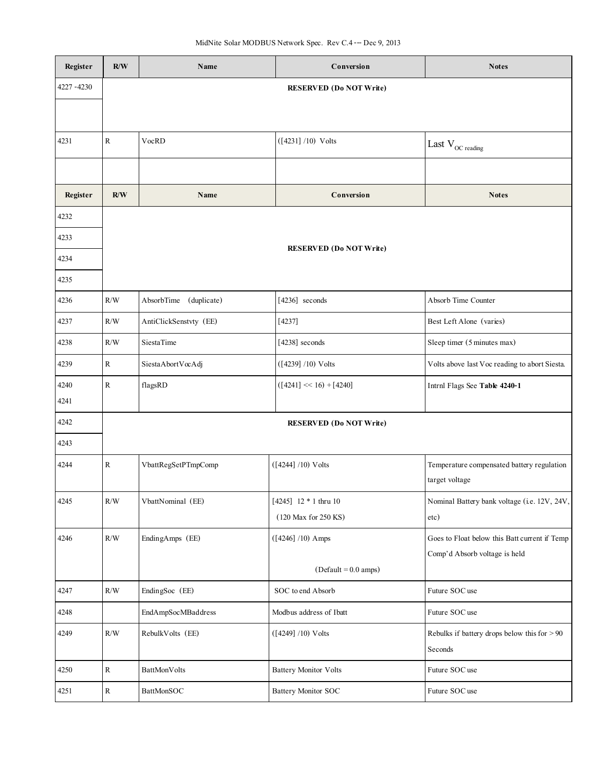| Register    | R/W         | Name                   | Conversion                     | <b>Notes</b>                                                 |
|-------------|-------------|------------------------|--------------------------------|--------------------------------------------------------------|
| 4227 - 4230 |             |                        | <b>RESERVED (Do NOT Write)</b> |                                                              |
|             |             |                        |                                |                                                              |
| 4231        | $\rm R$     | VocRD                  | $([4231] / 10)$ Volts          | Last $\rm V_{OC\ reading}$                                   |
|             |             |                        |                                |                                                              |
| Register    | R/W         | Name                   | Conversion                     | <b>Notes</b>                                                 |
| 4232        |             |                        |                                |                                                              |
| 4233        |             |                        |                                |                                                              |
| 4234        |             |                        | <b>RESERVED (Do NOT Write)</b> |                                                              |
| 4235        |             |                        |                                |                                                              |
| 4236        | R/W         | AbsorbTime (duplicate) | $[4236]$ seconds               | Absorb Time Counter                                          |
| 4237        | R/W         | AntiClickSenstvty (EE) | [4237]                         | Best Left Alone (varies)                                     |
| 4238        | R/W         | <b>SiestaTime</b>      | [4238] seconds                 | Sleep timer (5 minutes max)                                  |
| 4239        | $\mathbf R$ | SiestaAbortVocAdj      | $([4239] / 10)$ Volts          | Volts above last Voc reading to abort Siesta.                |
| 4240        | ${\bf R}$   | flagsRD                | $([4241] \ll 16) + [4240]$     | Intrnl Flags See Table 4240-1                                |
| 4241        |             |                        |                                |                                                              |
| 4242        |             |                        | <b>RESERVED (Do NOT Write)</b> |                                                              |
| 4243        |             |                        |                                |                                                              |
| 4244        | ${\bf R}$   | VbattRegSetPTmpComp    | $([4244] / 10)$ Volts          | Temperature compensated battery regulation<br>target voltage |
| 4245        | $\rm R/W$   | VbattNominal (EE)      | [4245] 12 * 1 thru 10          | Nominal Battery bank voltage (i.e. 12V, 24V,                 |
|             |             |                        | (120 Max for 250 KS)           | etc)                                                         |
| 4246        | $\rm R/W$   | EndingAmps (EE)        | $([4246] / 10)$ Amps           | Goes to Float below this Batt current if Temp                |
|             |             |                        | $(Default = 0.0 amps)$         | Comp'd Absorb voltage is held                                |
| 4247        | $\rm R/W$   | EndingSoc (EE)         | SOC to end Absorb              | Future SOC use                                               |
| 4248        |             | EndAmpSocMBaddress     | Modbus address of Ibatt        | Future SOC use                                               |
| 4249        | $\rm R/W$   | RebulkVolts (EE)       | $([4249] / 10)$ Volts          | Rebulks if battery drops below this for $> 90$<br>Seconds    |
| 4250        | $\mathbf R$ | BattMonVolts           | <b>Battery Monitor Volts</b>   | Future SOC use                                               |
| 4251        | $\rm R$     | BattMonSOC             | <b>Battery Monitor SOC</b>     | Future SOC use                                               |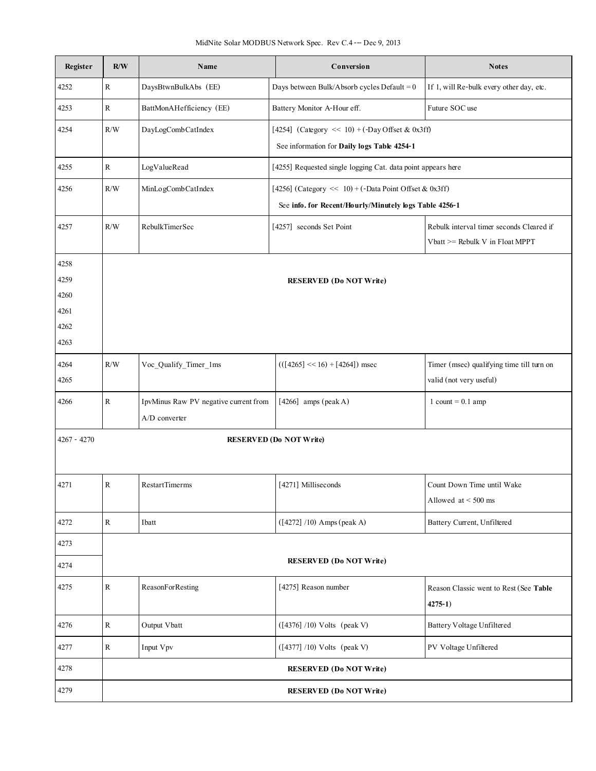| Register      | R/W                            | Name                                  | Conversion                                                   | <b>Notes</b>                                                                |  |  |  |
|---------------|--------------------------------|---------------------------------------|--------------------------------------------------------------|-----------------------------------------------------------------------------|--|--|--|
| 4252          | $\mathbf R$                    | DaysBtwnBulkAbs (EE)                  | Days between Bulk/Absorb cycles Default = $0$                | If 1, will Re-bulk every other day, etc.                                    |  |  |  |
| 4253          | ${\bf R}$                      | BattMonAHefficiency (EE)              | Battery Monitor A-Hour eff.                                  | Future SOC use                                                              |  |  |  |
| 4254          | R/W                            | DayLogCombCatIndex                    | [4254] (Category $\ll 10$ ) + (-Day Offset & 0x3ff)          |                                                                             |  |  |  |
|               |                                |                                       | See information for Daily logs Table 4254-1                  |                                                                             |  |  |  |
| 4255          | $\mathbb{R}$                   | LogValueRead                          | [4255] Requested single logging Cat. data point appears here |                                                                             |  |  |  |
| 4256          | R/W                            | MinLogCombCatIndex                    | [4256] (Category << 10) + (-Data Point Offset & 0x3ff)       |                                                                             |  |  |  |
|               |                                |                                       | See info. for Recent/Hourly/Minutely logs Table 4256-1       |                                                                             |  |  |  |
| 4257          | R/W                            | RebulkTimerSec                        | [4257] seconds Set Point                                     | Rebulk interval timer seconds Cleared if<br>Vbatt >= Rebulk V in Float MPPT |  |  |  |
| 4258          |                                |                                       |                                                              |                                                                             |  |  |  |
| 4259          |                                |                                       | <b>RESERVED (Do NOT Write)</b>                               |                                                                             |  |  |  |
| 4260          |                                |                                       |                                                              |                                                                             |  |  |  |
| 4261          |                                |                                       |                                                              |                                                                             |  |  |  |
| 4262          |                                |                                       |                                                              |                                                                             |  |  |  |
| 4263          |                                |                                       |                                                              |                                                                             |  |  |  |
| 4264          | R/W                            | Voc_Qualify_Timer_1ms                 | $(([4265] \ll 16) + [4264])$ msec                            | Timer (msec) qualifying time till turn on                                   |  |  |  |
| 4265          |                                |                                       |                                                              | valid (not very useful)                                                     |  |  |  |
| 4266          | $\mathbf R$                    | IpvMinus Raw PV negative current from | [4266] amps (peak A)                                         | $1$ count = 0.1 amp                                                         |  |  |  |
|               |                                | A/D converter                         |                                                              |                                                                             |  |  |  |
| $4267 - 4270$ |                                |                                       | <b>RESERVED (Do NOT Write)</b>                               |                                                                             |  |  |  |
| 4271          | ${\bf R}$                      | <b>RestartTimerms</b>                 | [4271] Milliseconds                                          | Count Down Time until Wake                                                  |  |  |  |
|               |                                |                                       |                                                              | Allowed at $<$ 500 ms                                                       |  |  |  |
| 4272          | $\mathbf R$                    | Ibatt                                 | $([4272] / 10)$ Amps (peak A)                                | Battery Current, Unfiltered                                                 |  |  |  |
| 4273          |                                |                                       |                                                              |                                                                             |  |  |  |
| 4274          |                                |                                       | <b>RESERVED (Do NOT Write)</b>                               |                                                                             |  |  |  |
| 4275          | R                              | ReasonForResting                      | [4275] Reason number                                         | Reason Classic went to Rest (See Table                                      |  |  |  |
|               |                                |                                       |                                                              | $4275 - 1$                                                                  |  |  |  |
| 4276          | ${\bf R}$                      | Output Vbatt                          | $([4376] / 10)$ Volts (peak V)                               | Battery Voltage Unfiltered                                                  |  |  |  |
| 4277          | ${\bf R}$                      | Input Vpv                             | $([4377] / 10)$ Volts (peak V)                               | PV Voltage Unfiltered                                                       |  |  |  |
| 4278          |                                |                                       | <b>RESERVED (Do NOT Write)</b>                               |                                                                             |  |  |  |
| 4279          | <b>RESERVED (Do NOT Write)</b> |                                       |                                                              |                                                                             |  |  |  |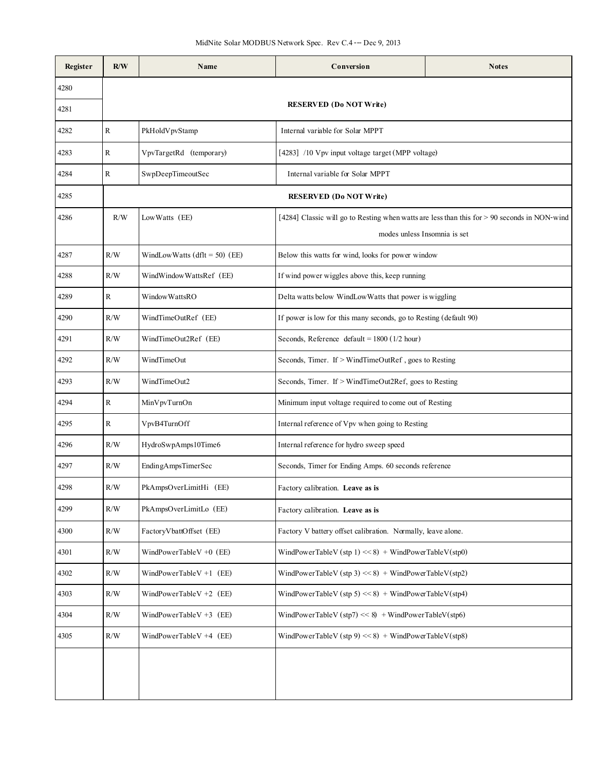| Register | R/W         | Name                           | Conversion                                                        | <b>Notes</b>                                                                                 |  |
|----------|-------------|--------------------------------|-------------------------------------------------------------------|----------------------------------------------------------------------------------------------|--|
| 4280     |             |                                |                                                                   |                                                                                              |  |
| 4281     |             |                                | <b>RESERVED</b> (Do NOT Write)                                    |                                                                                              |  |
| 4282     | $\mathbf R$ | PkHoldVpvStamp                 | Internal variable for Solar MPPT                                  |                                                                                              |  |
| 4283     | ${\bf R}$   | VpvTargetRd (temporary)        | [4283] /10 Vpv input voltage target (MPP voltage)                 |                                                                                              |  |
| 4284     | R           | SwpDeepTimeoutSec              | Internal variable for Solar MPPT                                  |                                                                                              |  |
| 4285     |             |                                | <b>RESERVED (Do NOT Write)</b>                                    |                                                                                              |  |
| 4286     | R/W         | LowWatts (EE)                  | modes unless Insomnia is set                                      | [4284] Classic will go to Resting when watts are less than this for > 90 seconds in NON-wind |  |
| 4287     | R/W         | WindLowWatts $(dft = 50)$ (EE) | Below this watts for wind, looks for power window                 |                                                                                              |  |
| 4288     | R/W         | WindWindowWattsRef (EE)        | If wind power wiggles above this, keep running                    |                                                                                              |  |
| 4289     | R           | Window WattsRO                 | Delta watts below WindLowWatts that power is wiggling             |                                                                                              |  |
| 4290     | R/W         | WindTimeOutRef (EE)            | If power is low for this many seconds, go to Resting (default 90) |                                                                                              |  |
| 4291     | R/W         | WindTimeOut2Ref (EE)           | Seconds, Reference default = $1800$ ( $1/2$ hour)                 |                                                                                              |  |
| 4292     | R/W         | WindTimeOut                    | Seconds, Timer. If > WindTimeOutRef, goes to Resting              |                                                                                              |  |
| 4293     | R/W         | WindTimeOut2                   | Seconds, Timer. If > WindTimeOut2Ref, goes to Resting             |                                                                                              |  |
| 4294     | ${\bf R}$   | MinVpvTurnOn                   | Minimum input voltage required to come out of Resting             |                                                                                              |  |
| 4295     | R           | VpvB4TurnOff                   | Internal reference of Vpv when going to Resting                   |                                                                                              |  |
| 4296     | R/W         | HydroSwpAmps10Time6            | Internal reference for hydro sweep speed                          |                                                                                              |  |
| 4297     | R/W         | EndingAmpsTimerSec             | Seconds, Timer for Ending Amps. 60 seconds reference              |                                                                                              |  |
| 4298     | R/W         | PkAmpsOverLimitHi (EE)         | Factory calibration. Leave as is                                  |                                                                                              |  |
| 4299     | R/W         | PkAmpsOverLimitLo (EE)         | Factory calibration. Leave as is                                  |                                                                                              |  |
| 4300     | R/W         | FactoryVbattOffset (EE)        | Factory V battery offset calibration. Normally, leave alone.      |                                                                                              |  |
| 4301     | R/W         | WindPowerTableV $+0$ (EE)      | WindPowerTableV (stp 1) << 8) + WindPowerTableV(stp0)             |                                                                                              |  |
| 4302     | R/W         | WindPowerTableV +1 $(EE)$      | WindPowerTableV (stp 3) << 8) + WindPowerTableV(stp2)             |                                                                                              |  |
| 4303     | R/W         | WindPowerTableV $+2$ (EE)      | WindPowerTableV (stp 5) << 8) + WindPowerTableV(stp4)             |                                                                                              |  |
| 4304     | R/W         | WindPowerTableV $+3$ (EE)      | WindPowerTableV (stp7) << 8) + WindPowerTableV (stp6)             |                                                                                              |  |
| 4305     | R/W         | WindPowerTableV $+4$ (EE)      | WindPowerTableV (stp 9) << 8) + WindPowerTableV(stp8)             |                                                                                              |  |
|          |             |                                |                                                                   |                                                                                              |  |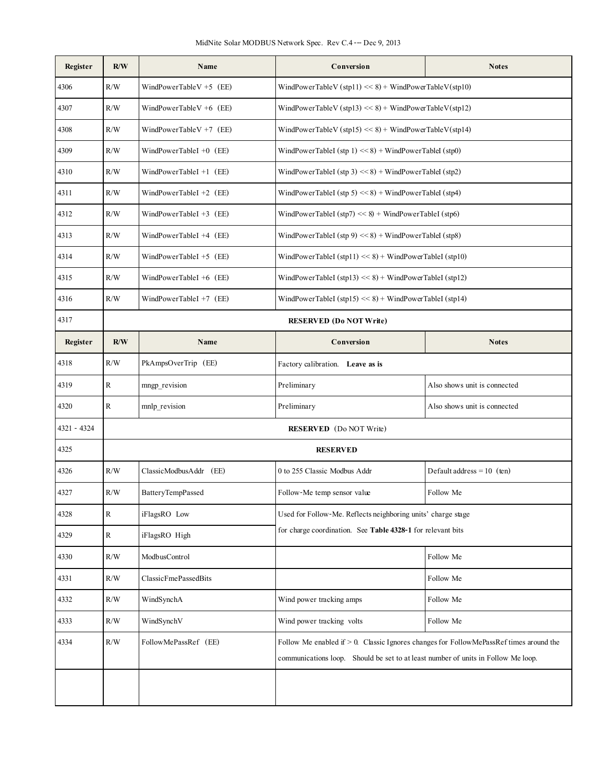| Register    | R/W          | Name                                                 | Conversion<br><b>Notes</b>                                                                                                                                                      |                              |  |  |
|-------------|--------------|------------------------------------------------------|---------------------------------------------------------------------------------------------------------------------------------------------------------------------------------|------------------------------|--|--|
| 4306        | R/W          | WindPowerTableV $+5$ (EE)                            | WindPowerTableV (stp11) << 8) + WindPowerTableV(stp10)                                                                                                                          |                              |  |  |
| 4307        | R/W          | WindPowerTableV +6 $(EE)$                            | WindPowerTableV (stp13) << 8) + WindPowerTableV(stp12)                                                                                                                          |                              |  |  |
| 4308        | R/W          | WindPowerTableV $+7$ (EE)                            | WindPowerTableV (stp15) << 8) + WindPowerTableV(stp14)                                                                                                                          |                              |  |  |
| 4309        | R/W          | WindPowerTableI +0 (EE)                              | WindPowerTableI (stp $1$ ) << 8) + WindPowerTableI (stp0)                                                                                                                       |                              |  |  |
| 4310        | R/W          | WindPowerTableI +1 (EE)                              | WindPowerTableI (stp 3) << 8) + WindPowerTableI (stp2)                                                                                                                          |                              |  |  |
| 4311        | $\rm R/W$    | WindPowerTableI +2 (EE)                              | WindPowerTableI (stp 5) << 8) + WindPowerTableI (stp4)                                                                                                                          |                              |  |  |
| 4312        | R/W          | WindPowerTableI +3 (EE)                              | WindPowerTableI (stp7) << $8$ ) + WindPowerTableI (stp6)                                                                                                                        |                              |  |  |
| 4313        | R/W          | WindPowerTableI +4 (EE)                              | WindPowerTableI (stp 9) << 8) + WindPowerTableI (stp8)                                                                                                                          |                              |  |  |
| 4314        | R/W          | WindPowerTableI +5 $(EE)$                            | WindPowerTableI (stp11) << 8) + WindPowerTableI (stp10)                                                                                                                         |                              |  |  |
| 4315        | R/W          | WindPowerTableI +6 (EE)                              | WindPowerTableI (stp13) << $8$ ) + WindPowerTableI (stp12)                                                                                                                      |                              |  |  |
| 4316        | $\rm R/W$    | WindPowerTableI +7 $(EE)$                            | WindPowerTableI (stp15) << $8$ ) + WindPowerTableI (stp14)                                                                                                                      |                              |  |  |
| 4317        |              |                                                      | <b>RESERVED</b> (Do NOT Write)                                                                                                                                                  |                              |  |  |
| Register    | R/W          | Name                                                 | Conversion<br><b>Notes</b>                                                                                                                                                      |                              |  |  |
| 4318        | R/W          | PkAmpsOverTrip (EE)                                  | Factory calibration. Leave as is                                                                                                                                                |                              |  |  |
| 4319        | $\mathbf R$  | mngp revision                                        | Preliminary                                                                                                                                                                     | Also shows unit is connected |  |  |
| 4320        | $\mathbb{R}$ | mnlp revision                                        | Preliminary                                                                                                                                                                     | Also shows unit is connected |  |  |
| 4321 - 4324 |              |                                                      | <b>RESERVED</b> (Do NOT Write)                                                                                                                                                  |                              |  |  |
| 4325        |              |                                                      | <b>RESERVED</b>                                                                                                                                                                 |                              |  |  |
| 4326        | R/W          | ClassicModbusAddr (EE)                               | 0 to 255 Classic Modbus Addr                                                                                                                                                    | Default address = $10$ (ten) |  |  |
| 4327        | $\rm R/W$    | BatteryTempPassed                                    | Follow-Me temp sensor value                                                                                                                                                     | Follow Me                    |  |  |
| 4328        | $\mathbb{R}$ | iFlagsRO Low                                         | Used for Follow-Me. Reflects neighboring units' charge stage                                                                                                                    |                              |  |  |
| 4329        | $\mathbf R$  | iFlagsRO High                                        | for charge coordination. See Table 4328-1 for relevant bits                                                                                                                     |                              |  |  |
| 4330        | R/W          | ModbusControl                                        |                                                                                                                                                                                 | Follow Me                    |  |  |
| 4331        | R/W          | ClassicFmePassedBits                                 |                                                                                                                                                                                 | Follow Me                    |  |  |
| 4332        | R/W          | WindSynchA                                           | Wind power tracking amps                                                                                                                                                        | Follow Me                    |  |  |
| 4333        | $\rm R/W$    | WindSynchV<br>Wind power tracking volts<br>Follow Me |                                                                                                                                                                                 |                              |  |  |
| 4334        | R/W          | FollowMePassRef (EE)                                 | Follow Me enabled if $> 0$ . Classic Ignores changes for Follow MePassRef times around the<br>communications loop. Should be set to at least number of units in Follow Me loop. |                              |  |  |
|             |              |                                                      |                                                                                                                                                                                 |                              |  |  |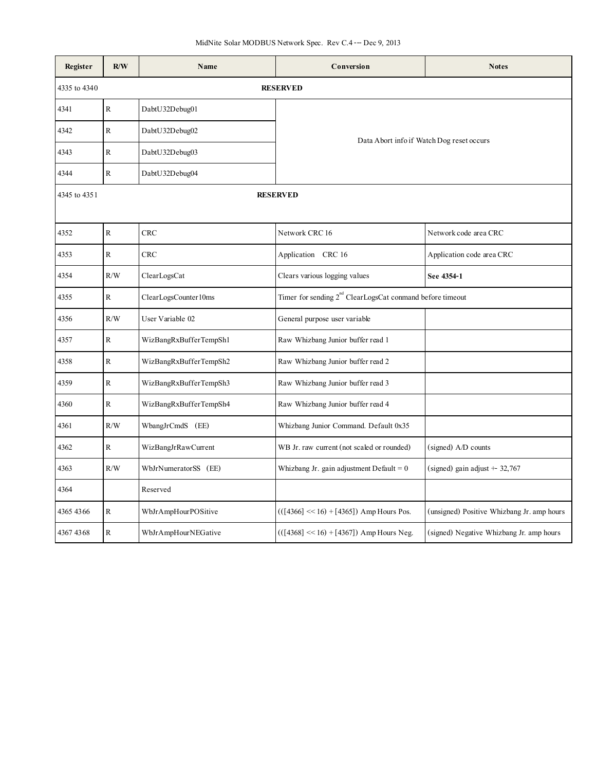| Register     | R/W          | Name                   | Conversion                                                            | <b>Notes</b>                               |  |
|--------------|--------------|------------------------|-----------------------------------------------------------------------|--------------------------------------------|--|
| 4335 to 4340 |              |                        | <b>RESERVED</b>                                                       |                                            |  |
| 4341         | $\mathbb{R}$ | DabtU32Debug01         | Data Abort info if Watch Dog reset occurs                             |                                            |  |
| 4342         | ${\bf R}$    | DabtU32Debug02         |                                                                       |                                            |  |
| 4343         | ${\bf R}$    | DabtU32Debug03         |                                                                       |                                            |  |
| 4344         | $\mathbb{R}$ | DabtU32Debug04         |                                                                       |                                            |  |
| 4345 to 4351 |              |                        | <b>RESERVED</b>                                                       |                                            |  |
|              |              |                        |                                                                       |                                            |  |
| 4352         | $\mathbb{R}$ | CRC                    | Network CRC 16                                                        | Network code area CRC                      |  |
| 4353         | ${\bf R}$    | CRC                    | Application CRC 16                                                    | Application code area CRC                  |  |
| 4354         | R/W          | ClearLogsCat           | Clears various logging values                                         | See 4354-1                                 |  |
| 4355         | $\mathbb{R}$ | ClearLogsCounter10ms   | Timer for sending 2 <sup>nd</sup> ClearLogsCat conmand before timeout |                                            |  |
| 4356         | R/W          | User Variable 02       | General purpose user variable                                         |                                            |  |
| 4357         | $\mathbf R$  | WizBangRxBufferTempSh1 | Raw Whizbang Junior buffer read 1                                     |                                            |  |
| 4358         | ${\bf R}$    | WizBangRxBufferTempSh2 | Raw Whizbang Junior buffer read 2                                     |                                            |  |
| 4359         | ${\bf R}$    | WizBangRxBufferTempSh3 | Raw Whizbang Junior buffer read 3                                     |                                            |  |
| 4360         | $\rm R$      | WizBangRxBufferTempSh4 | Raw Whizbang Junior buffer read 4                                     |                                            |  |
| 4361         | R/W          | WbangJrCmdS (EE)       | Whizbang Junior Command. Default 0x35                                 |                                            |  |
| 4362         | $\mathbf R$  | WizBangJrRawCurrent    | WB Jr. raw current (not scaled or rounded)                            | (signed) A/D counts                        |  |
| 4363         | R/W          | WbJrNumeratorSS (EE)   | Whizbang Jr. gain adjustment Default = $0$                            | (signed) gain adjust $+32,767$             |  |
| 4364         |              | Reserved               |                                                                       |                                            |  |
| 4365 4366    | ${\bf R}$    | WbJrAmpHourPOSitive    | $(([4366] \ll 16) + [4365])$ Amp Hours Pos.                           | (unsigned) Positive Whizbang Jr. amp hours |  |
| 4367 4368    | $\mathbb{R}$ | WbJrAmpHourNEGative    | $(([4368] \ll 16) + [4367])$ Amp Hours Neg.                           | (signed) Negative Whizbang Jr. amp hours   |  |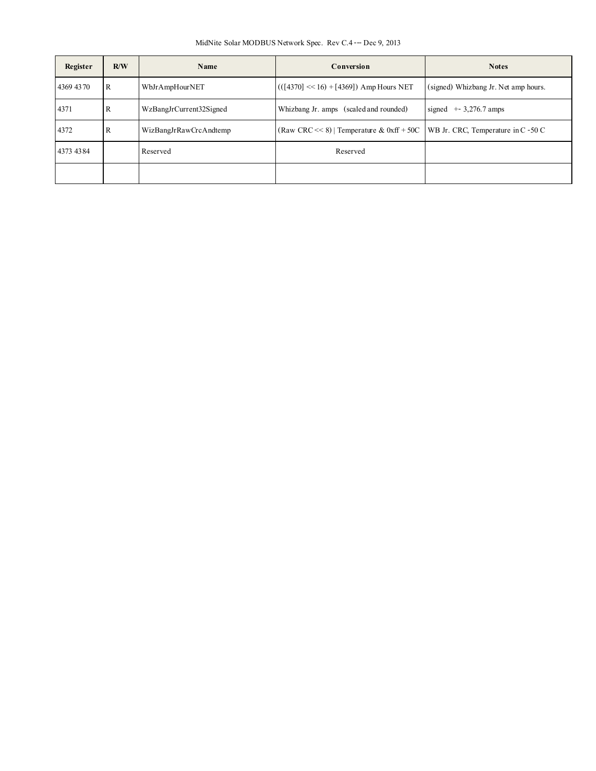MidNite Solar MODBUS Network Spec. Rev C.4--- Dec 9, 2013

| Register  | R/W | Name                    | Conversion                                                                      | <b>Notes</b>                         |
|-----------|-----|-------------------------|---------------------------------------------------------------------------------|--------------------------------------|
| 4369 4370 | R   | WbJrAmpHourNET          | $(([4370] \ll 16) + [4369])$ Amp Hours NET                                      | (signed) Whizbang Jr. Net amp hours. |
| 4371      | R   | WzBangJrCurrent32Signed | Whizbang Jr. amps (scaled and rounded)                                          | signed $+3,276.7$ amps               |
| 4372      | R   | WizBangJrRawCrcAndtemp  | (Raw CRC << 8)   Temperature & 0xff + 50C   WB Jr. CRC, Temperature in C - 50 C |                                      |
| 4373 4384 |     | Reserved                | Reserved                                                                        |                                      |
|           |     |                         |                                                                                 |                                      |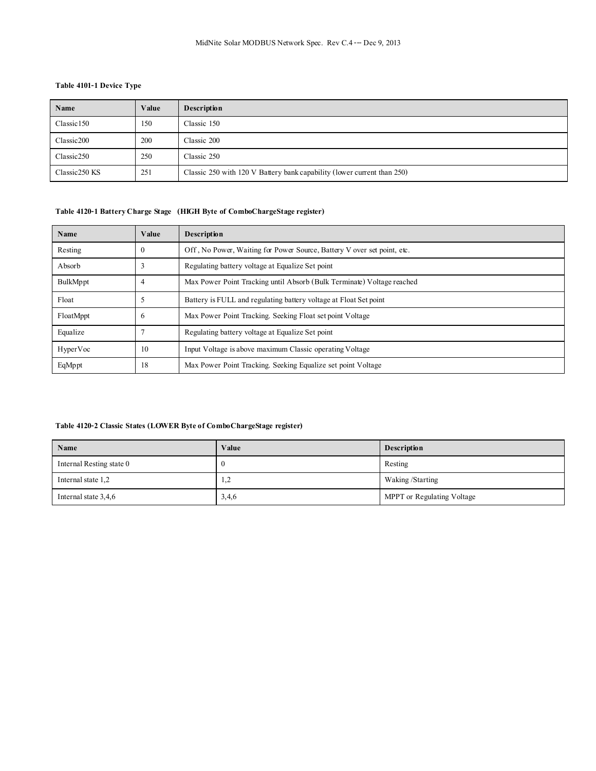## **Table 4101-1 Device Type**

| Name                   | Value | <b>Description</b>                                                      |
|------------------------|-------|-------------------------------------------------------------------------|
| Classic <sub>150</sub> | 150   | Classic 150                                                             |
| Classic200             | 200   | Classic 200                                                             |
| Classic 250            | 250   | Classic 250                                                             |
| Classic250 KS          | 251   | Classic 250 with 120 V Battery bank capability (lower current than 250) |

## **Table 4120-1 Battery Charge Stage (HIGH Byte of ComboChargeStage register)**

| Name      | Value    | <b>Description</b>                                                      |  |
|-----------|----------|-------------------------------------------------------------------------|--|
| Resting   | $\theta$ | Off, No Power, Waiting for Power Source, Battery V over set point, etc. |  |
| Absorb    |          | Regulating battery voltage at Equalize Set point                        |  |
| BulkMppt  | 4        | Max Power Point Tracking until Absorb (Bulk Terminate) Voltage reached  |  |
| Float     |          | Battery is FULL and regulating battery voltage at Float Set point       |  |
| FloatMppt | h        | Max Power Point Tracking, Seeking Float set point Voltage               |  |
| Equalize  |          | Regulating battery voltage at Equalize Set point                        |  |
| HyperVoc  | 10       | Input Voltage is above maximum Classic operating Voltage                |  |
| EqMppt    | 18       | Max Power Point Tracking. Seeking Equalize set point Voltage            |  |

#### **Table 4120-2 Classic States (LOWER Byte of ComboChargeStage register)**

| Name                     | Value                           | <b>Description</b>         |
|--------------------------|---------------------------------|----------------------------|
| Internal Resting state 0 | Resting                         |                            |
| Internal state 1,2       | $\mathcal{D}$<br>$\overline{1}$ | Waking /Starting           |
| Internal state 3,4,6     | 3,4,6                           | MPPT or Regulating Voltage |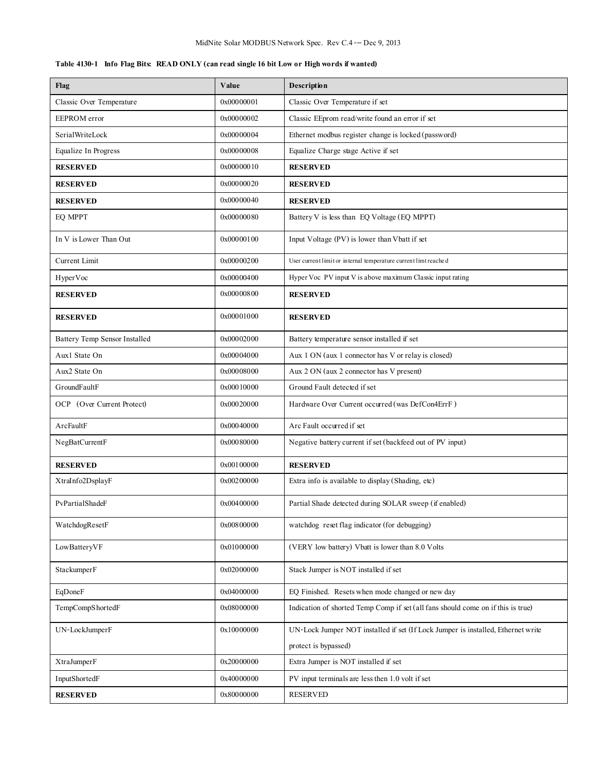|  |  |  |  |  | Table 4130-1 Info Flag Bits: READ ONLY (can read single 16 bit Low or High words if wanted) |
|--|--|--|--|--|---------------------------------------------------------------------------------------------|
|--|--|--|--|--|---------------------------------------------------------------------------------------------|

| Flag                          | Value      | Description                                                                      |  |
|-------------------------------|------------|----------------------------------------------------------------------------------|--|
| Classic Over Temperature      | 0x00000001 | Classic Over Temperature if set                                                  |  |
| EEPROM error                  | 0x00000002 | Classic EEprom read/write found an error if set                                  |  |
| SerialWriteLock               | 0x00000004 | Ethernet modbus register change is locked (password)                             |  |
| Equalize In Progress          | 0x00000008 | Equalize Charge stage Active if set                                              |  |
| <b>RESERVED</b>               | 0x00000010 | <b>RESERVED</b>                                                                  |  |
| <b>RESERVED</b>               | 0x00000020 | <b>RESERVED</b>                                                                  |  |
| <b>RESERVED</b>               | 0x00000040 | <b>RESERVED</b>                                                                  |  |
| EO MPPT                       | 0x00000080 | Battery V is less than EQ Voltage (EQ MPPT)                                      |  |
| In V is Lower Than Out        | 0x00000100 | Input Voltage (PV) is lower than Vbatt if set                                    |  |
| Current Limit                 | 0x00000200 | User current limit or internal temperature current limt reached                  |  |
| HyperVoc                      | 0x00000400 | Hyper Voc PV input V is above maximum Classic input rating                       |  |
| <b>RESERVED</b>               | 0x00000800 | <b>RESERVED</b>                                                                  |  |
| <b>RESERVED</b>               | 0x00001000 | <b>RESERVED</b>                                                                  |  |
| Battery Temp Sensor Installed | 0x00002000 | Battery temperature sensor installed if set                                      |  |
| Aux1 State On                 | 0x00004000 | Aux 1 ON (aux 1 connector has V or relay is closed)                              |  |
| Aux2 State On                 | 0x00008000 | Aux 2 ON (aux 2 connector has V present)                                         |  |
| GroundFaultF                  | 0x00010000 | Ground Fault detected if set                                                     |  |
| OCP (Over Current Protect)    | 0x00020000 | Hardware Over Current occurred (was DefCon4ErrF)                                 |  |
| ArcFaultF                     | 0x00040000 | Arc Fault occurred if set                                                        |  |
| NegBatCurrentF                | 0x00080000 | Negative battery current if set (backfeed out of PV input)                       |  |
| <b>RESERVED</b>               | 0x00100000 | <b>RESERVED</b>                                                                  |  |
| XtraInfo2DsplayF              | 0x00200000 | Extra info is available to display (Shading, etc)                                |  |
| PvPartialShadeF               | 0x00400000 | Partial Shade detected during SOLAR sweep (if enabled)                           |  |
| WatchdogResetF                | 0x00800000 | watchdog reset flag indicator (for debugging)                                    |  |
| LowBatteryVF                  | 0x01000000 | (VERY low battery) Vbatt is lower than 8.0 Volts                                 |  |
| StackumperF                   | 0x02000000 | Stack Jumper is NOT installed if set                                             |  |
| EqDoneF                       | 0x04000000 | EQ Finished. Resets when mode changed or new day                                 |  |
| TempCompShortedF              | 0x08000000 | Indication of shorted Temp Comp if set (all fans should come on if this is true) |  |
| UN-LockJumperF                | 0x10000000 | UN-Lock Jumper NOT installed if set (If Lock Jumper is installed, Ethernet write |  |
|                               |            | protect is bypassed)                                                             |  |
| XtraJumperF                   | 0x20000000 | Extra Jumper is NOT installed if set                                             |  |
| InputShortedF                 | 0x40000000 | PV input terminals are less then 1.0 volt if set                                 |  |
| <b>RESERVED</b>               | 0x80000000 | <b>RESERVED</b>                                                                  |  |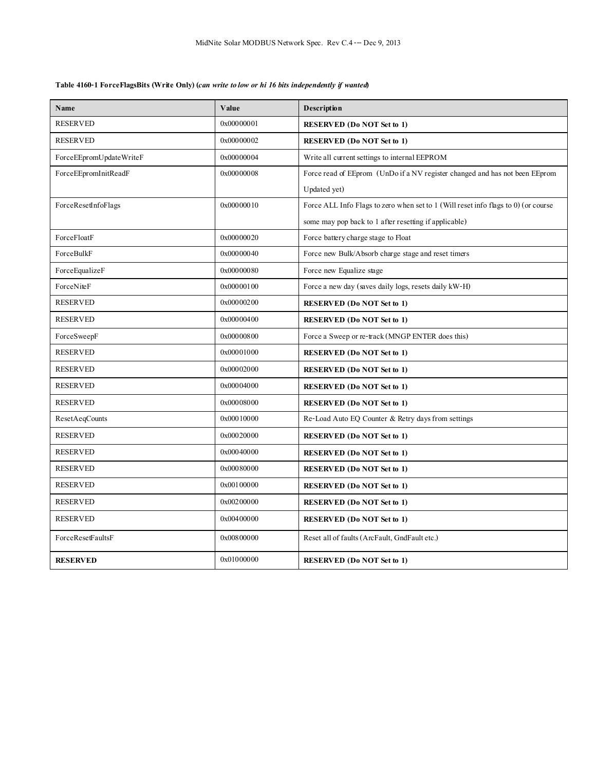## **Table 4160-1 ForceFlagsBits (Write Only) (***can write to low or hi 16 bits independently if wanted***)**

| Name                    | Value       | Description                                                                          |
|-------------------------|-------------|--------------------------------------------------------------------------------------|
| <b>RESERVED</b>         | 0x00000001  | <b>RESERVED</b> (Do NOT Set to 1)                                                    |
| <b>RESERVED</b>         | 0x00000002  | <b>RESERVED</b> (Do NOT Set to 1)                                                    |
| ForceEEpromUpdateWriteF | 0x00000004  | Write all current settings to internal EEPROM                                        |
| ForceEEpromInitReadF    | 0x00000008  | Force read of EEprom (UnDo if a NV register changed and has not been EEprom          |
|                         |             | Updated yet)                                                                         |
| ForceResetInfoFlags     | 0x00000010  | Force ALL Info Flags to zero when set to $1$ (Will reset info flags to 0) (or course |
|                         |             | some may pop back to 1 after resetting if applicable)                                |
| ForceFloatF             | 0x00000020  | Force battery charge stage to Float                                                  |
| ForceBulkF              | 0x00000040  | Force new Bulk/Absorb charge stage and reset timers                                  |
| ForceEqualizeF          | 0x000000080 | Force new Equalize stage                                                             |
| ForceNiteF              | 0x00000100  | Force a new day (saves daily logs, resets daily kW-H)                                |
| <b>RESERVED</b>         | 0x00000200  | <b>RESERVED</b> (Do NOT Set to 1)                                                    |
| <b>RESERVED</b>         | 0x00000400  | <b>RESERVED</b> (Do NOT Set to 1)                                                    |
| ForceSweepF             | 0x00000800  | Force a Sweep or re-track (MNGP ENTER does this)                                     |
| <b>RESERVED</b>         | 0x00001000  | <b>RESERVED</b> (Do NOT Set to 1)                                                    |
| <b>RESERVED</b>         | 0x00002000  | <b>RESERVED (Do NOT Set to 1)</b>                                                    |
| <b>RESERVED</b>         | 0x00004000  | <b>RESERVED</b> (Do NOT Set to 1)                                                    |
| <b>RESERVED</b>         | 0x00008000  | <b>RESERVED (Do NOT Set to 1)</b>                                                    |
| ResetAeqCounts          | 0x00010000  | Re-Load Auto EQ Counter & Retry days from settings                                   |
| <b>RESERVED</b>         | 0x00020000  | <b>RESERVED (Do NOT Set to 1)</b>                                                    |
| <b>RESERVED</b>         | 0x00040000  | <b>RESERVED (Do NOT Set to 1)</b>                                                    |
| <b>RESERVED</b>         | 0x00080000  | <b>RESERVED (Do NOT Set to 1)</b>                                                    |
| <b>RESERVED</b>         | 0x00100000  | <b>RESERVED (Do NOT Set to 1)</b>                                                    |
| <b>RESERVED</b>         | 0x00200000  | <b>RESERVED</b> (Do NOT Set to 1)                                                    |
| <b>RESERVED</b>         | 0x00400000  | <b>RESERVED</b> (Do NOT Set to 1)                                                    |
| ForceResetFaultsF       | 0x00800000  | Reset all of faults (ArcFault, GndFault etc.)                                        |
| <b>RESERVED</b>         | 0x01000000  | <b>RESERVED</b> (Do NOT Set to 1)                                                    |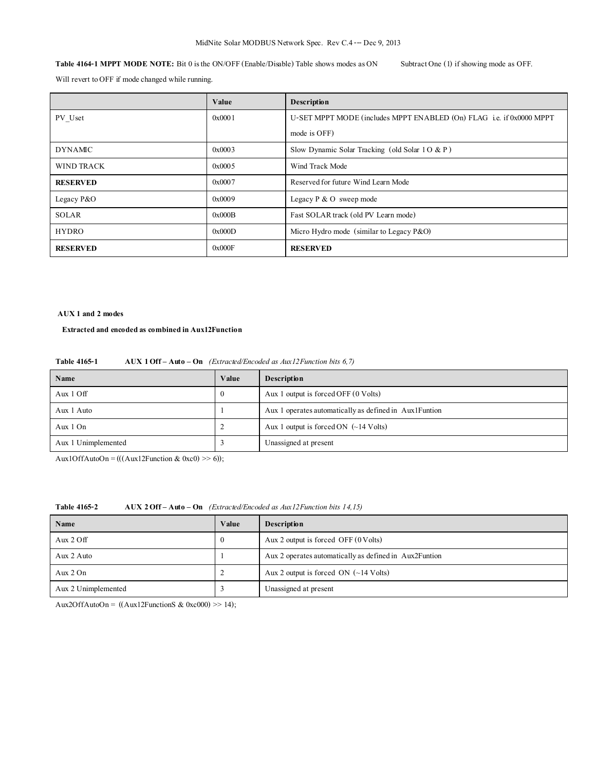**Table 4164-1 MPPT MODE NOTE:** Bit 0 is the ON/OFF (Enable/Disable) Table shows modes as ON Subtract One (1) if showing mode as OFF.

Will revert to OFF if mode changed while running.

|                 | Value  | Description                                                          |
|-----------------|--------|----------------------------------------------------------------------|
| PV Uset         | 0x0001 | U-SET MPPT MODE (includes MPPT ENABLED (On) FLAG i.e. if 0x0000 MPPT |
|                 |        | mode is OFF)                                                         |
| <b>DYNAMIC</b>  | 0x0003 | Slow Dynamic Solar Tracking (old Solar $10 & (P)$ )                  |
| WIND TRACK      | 0x0005 | Wind Track Mode                                                      |
| <b>RESERVED</b> | 0x0007 | Reserved for future Wind Learn Mode                                  |
| Legacy $P&O$    | 0x0009 | Legacy $P \& O$ sweep mode                                           |
| <b>SOLAR</b>    | 0x000B | Fast SOLAR track (old PV Learn mode)                                 |
| <b>HYDRO</b>    | 0x000D | Micro Hydro mode (similar to Legacy $P&O$ )                          |
| <b>RESERVED</b> | 0x000F | <b>RESERVED</b>                                                      |

#### **AUX 1 and 2 modes**

#### **Extracted and encoded as combined in Aux12Function**

| AUX $1$ Off $-$ Auto $-$ On (Extracted/Encoded as Aux12 Function bits 6,7) |
|----------------------------------------------------------------------------|
|                                                                            |

| Name                | Value    | <b>Description</b>                                     |
|---------------------|----------|--------------------------------------------------------|
| Aux $1 \text{ Off}$ | $\theta$ | Aux 1 output is forced OFF (0 Volts)                   |
| Aux 1 Auto          |          | Aux 1 operates automatically as defined in Aux1Funtion |
| Aux $1$ On          |          | Aux 1 output is forced ON $(-14 \text{ Volts})$        |
| Aux 1 Unimplemented |          | Unassigned at present                                  |

Aux1OffAutoOn = (((Aux12Function & 0xc0) >> 6));

### **Table 4165-2 AUX 2 Off – Auto – On** *(Extracted/Encoded as Aux12Function bits 14,15)*

| Name                | Value    | <b>Description</b>                                     |
|---------------------|----------|--------------------------------------------------------|
| Aux $2 \text{ Off}$ | $\theta$ | Aux 2 output is forced OFF $(0 \text{ Volts})$         |
| Aux 2 Auto          |          | Aux 2 operates automatically as defined in Aux2Funtion |
| Aux $2 \text{ On}$  | ∠        | Aux 2 output is forced ON $(\sim 14$ Volts)            |
| Aux 2 Unimplemented |          | Unassigned at present                                  |

Aux2OffAutoOn = ((Aux12FunctionS & 0xc000) >> 14);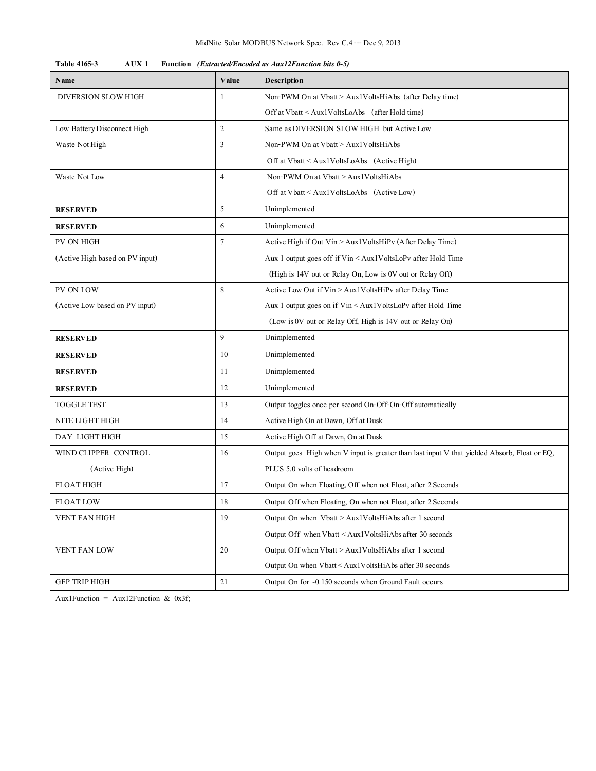| Table 4165-3 |  | AUX 1 Function (Extracted/Encoded as Aux12Function bits 0-5) |
|--------------|--|--------------------------------------------------------------|
|--------------|--|--------------------------------------------------------------|

| Name                            | Value          | Description                                                                                  |  |
|---------------------------------|----------------|----------------------------------------------------------------------------------------------|--|
| DIVERSION SLOW HIGH             | 1              | Non-PWM On at Vbatt > Aux1VoltsHiAbs (after Delay time)                                      |  |
|                                 |                | Off at Vbatt < Aux1VoltsLoAbs (after Hold time)                                              |  |
| Low Battery Disconnect High     | $\overline{2}$ | Same as DIVERSION SLOW HIGH but Active Low                                                   |  |
| Waste Not High                  | 3              | Non-PWM On at Vbatt > Aux1VoltsHiAbs                                                         |  |
|                                 |                | Off at $Vbat \leq Aux1VoltsLoAbs$ (Active High)                                              |  |
| Waste Not Low                   | $\overline{4}$ | Non-PWM On at Vbatt > Aux1VoltsHiAbs                                                         |  |
|                                 |                | Off at Vbatt < Aux1VoltsLoAbs (Active Low)                                                   |  |
| <b>RESERVED</b>                 | 5              | Unimplemented                                                                                |  |
| <b>RESERVED</b>                 | 6              | Unimplemented                                                                                |  |
| PV ON HIGH                      | 7              | Active High if Out Vin > Aux1VoltsHiPv (After Delay Time)                                    |  |
| (Active High based on PV input) |                | Aux 1 output goes off if Vin < Aux1VoltsLoPv after Hold Time                                 |  |
|                                 |                | (High is 14V out or Relay On, Low is 0V out or Relay Off)                                    |  |
| PV ON LOW                       | 8              | Active Low Out if Vin > Aux1VoltsHiPv after Delay Time                                       |  |
| (Active Low based on PV input)  |                | Aux 1 output goes on if Vin < Aux1VoltsLoPv after Hold Time                                  |  |
|                                 |                | (Low is 0V out or Relay Off, High is 14V out or Relay On)                                    |  |
| <b>RESERVED</b>                 | 9              | Unimplemented                                                                                |  |
| <b>RESERVED</b>                 | 10             | Unimplemented                                                                                |  |
| <b>RESERVED</b>                 | 11             | Unimplemented                                                                                |  |
| <b>RESERVED</b>                 | 12             | Unimplemented                                                                                |  |
| <b>TOGGLE TEST</b>              | 13             | Output toggles once per second On-Off-On-Off automatically                                   |  |
| NITE LIGHT HIGH                 | 14             | Active High On at Dawn, Off at Dusk                                                          |  |
| DAY LIGHT HIGH                  | 15             | Active High Off at Dawn, On at Dusk                                                          |  |
| WIND CLIPPER CONTROL            | 16             | Output goes High when V input is greater than last input V that yielded Absorb, Float or EQ, |  |
| (Active High)                   |                | PLUS 5.0 volts of headroom                                                                   |  |
| <b>FLOAT HIGH</b>               | 17             | Output On when Floating, Off when not Float, after 2 Seconds                                 |  |
| <b>FLOAT LOW</b>                | 18             | Output Off when Floating, On when not Float, after 2 Seconds                                 |  |
| VENT FAN HIGH                   | 19             | Output On when Vbatt > Aux1VoltsHiAbs after 1 second                                         |  |
|                                 |                | Output Off when Vbatt < Aux1VoltsHiAbs after 30 seconds                                      |  |
| VENT FAN LOW                    | 20             | Output Off when Vbatt > Aux1VoltsHiAbs after 1 second                                        |  |
|                                 |                | Output On when Vbatt < Aux1VoltsHiAbs after 30 seconds                                       |  |
| <b>GFP TRIP HIGH</b>            | 21             | Output On for $\sim 0.150$ seconds when Ground Fault occurs                                  |  |

Aux1Function = Aux12Function & 0x3f;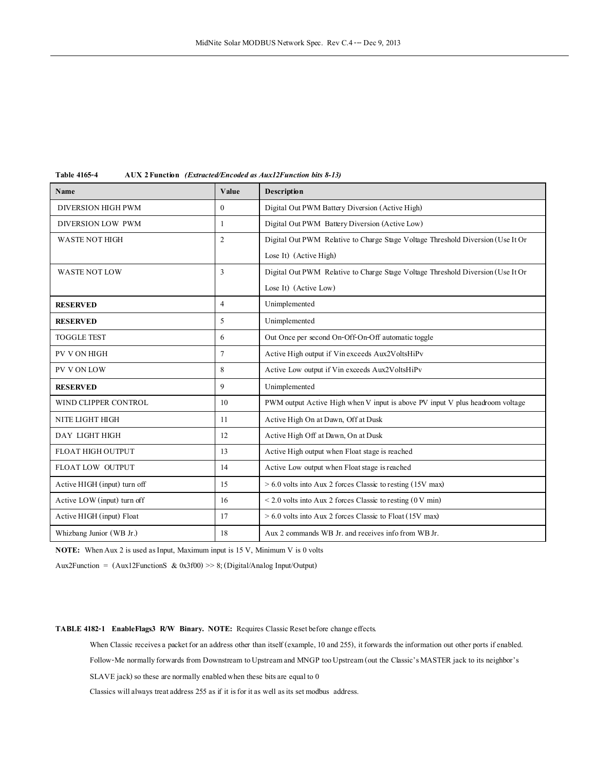| Name                         | Value            | <b>Description</b>                                                              |
|------------------------------|------------------|---------------------------------------------------------------------------------|
| <b>DIVERSION HIGH PWM</b>    | $\boldsymbol{0}$ | Digital Out PWM Battery Diversion (Active High)                                 |
| DIVERSION LOW PWM            | 1                | Digital Out PWM Battery Diversion (Active Low)                                  |
| WASTE NOT HIGH               | $\overline{c}$   | Digital Out PWM Relative to Charge Stage Voltage Threshold Diversion (Use It Or |
|                              |                  | Lose It) (Active High)                                                          |
| <b>WASTE NOT LOW</b>         | 3                | Digital Out PWM Relative to Charge Stage Voltage Threshold Diversion (Use It Or |
|                              |                  | Lose It) (Active Low)                                                           |
| <b>RESERVED</b>              | $\overline{4}$   | Unimplemented                                                                   |
| <b>RESERVED</b>              | 5                | Unimplemented                                                                   |
| <b>TOGGLE TEST</b>           | 6                | Out Once per second On-Off-On-Off automatic toggle                              |
| PV VON HIGH                  | 7                | Active High output if Vin exceeds Aux2VoltsHiPv                                 |
| PV VON LOW                   | 8                | Active Low output if Vin exceeds Aux2VoltsHiPv                                  |
| <b>RESERVED</b>              | 9                | Unimplemented                                                                   |
| WIND CLIPPER CONTROL         | 10               | PWM output Active High when V input is above PV input V plus headroom voltage   |
| NITE LIGHT HIGH              | 11               | Active High On at Dawn, Off at Dusk                                             |
| DAY LIGHT HIGH               | 12               | Active High Off at Dawn, On at Dusk                                             |
| FLOAT HIGH OUTPUT            | 13               | Active High output when Float stage is reached                                  |
| FLOAT LOW OUTPUT             | 14               | Active Low output when Float stage is reached                                   |
| Active HIGH (input) turn off | 15               | > 6.0 volts into Aux 2 forces Classic to resting (15V max)                      |
| Active LOW (input) turn off  | 16               | $\leq$ 2.0 volts into Aux 2 forces Classic to resting (0 V min)                 |
| Active HIGH (input) Float    | 17               | $> 6.0$ volts into Aux 2 forces Classic to Float (15V max)                      |
| Whizbang Junior (WB Jr.)     | 18               | Aux 2 commands WB Jr, and receives info from WB Jr.                             |

**Table 4165-4 AUX 2 Function** *(Extracted/Encoded as Aux12Function bits 8-13)*

**NOTE:** When Aux 2 is used as Input, Maximum input is 15 V, Minimum V is 0 volts

Aux2Function = (Aux12FunctionS & 0x3f00) >> 8; (Digital/Analog Input/Output)

**TABLE 4182-1 EnableFlags3 R/W Binary. NOTE:** Requires Classic Reset before change effects.

When Classic receives a packet for an address other than itself (example, 10 and 255), it forwards the information out other ports if enabled.

Follow-Me normally forwards from Downstream to Upstream and MNGP too Upstream (out the Classic's MASTER jack to its neighbor's

SLAVE jack) so these are normally enabled when these bits are equal to 0

Classics will always treat address 255 as if it is for it as well as its set modbus address.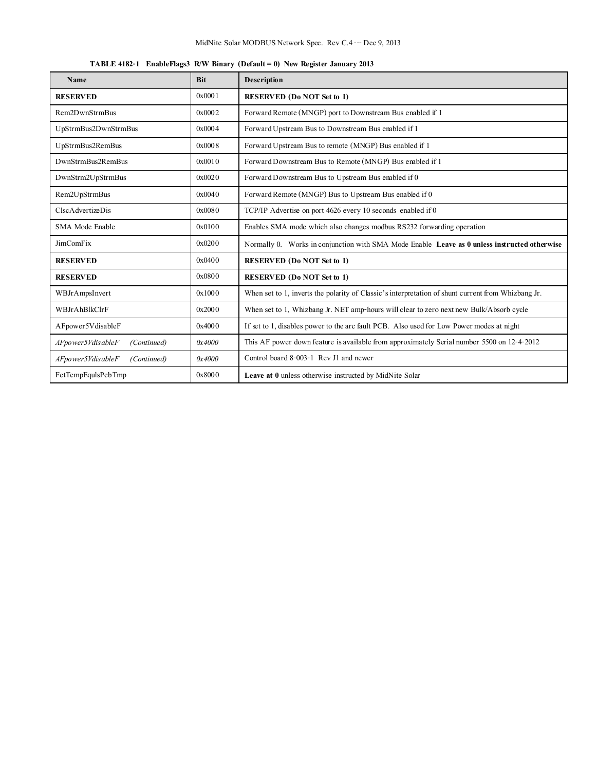| <b>TABLE 4182-1</b> EnableFlags3 R/W Binary (Default = 0) New Register January 2013 |  |  |  |  |  |
|-------------------------------------------------------------------------------------|--|--|--|--|--|
|-------------------------------------------------------------------------------------|--|--|--|--|--|

| Name                             | <b>Bit</b> | Description                                                                                        |
|----------------------------------|------------|----------------------------------------------------------------------------------------------------|
| <b>RESERVED</b>                  | 0x0001     | <b>RESERVED (Do NOT Set to 1)</b>                                                                  |
| Rem2DwnStrmBus                   | 0x0002     | Forward Remote (MNGP) port to Downstream Bus enabled if 1                                          |
| UpStrmBus2DwnStrmBus             | 0x0004     | Forward Upstream Bus to Downstream Bus embled if 1                                                 |
| UpStrmBus2RemBus                 | 0x0008     | Forward Upstream Bus to remote (MNGP) Bus enabled if 1                                             |
| DwnStrmBus2RemBus                | 0x0010     | Forward Downstream Bus to Remote (MNGP) Bus enabled if 1                                           |
| DwnStrm2UpStrmBus                | 0x0020     | Forward Downstream Bus to Upstream Bus enabled if 0                                                |
| Rem2UpStrmBus                    | 0x0040     | Forward Remote (MNGP) Bus to Upstream Bus enabled if 0                                             |
| ClscAdvertizeDis                 | 0x0080     | TCP/IP Advertise on port 4626 every 10 seconds enabled if 0                                        |
| SMA Mode Enable                  | 0x0100     | Enables SMA mode which also changes modbus RS232 forwarding operation                              |
| <b>JimComFix</b>                 | 0x0200     | Normally 0. Works in conjunction with SMA Mode Enable Leave as 0 unless instructed otherwise       |
| <b>RESERVED</b>                  | 0x0400     | <b>RESERVED (Do NOT Set to 1)</b>                                                                  |
| <b>RESERVED</b>                  | 0x0800     | <b>RESERVED (Do NOT Set to 1)</b>                                                                  |
| WBJrAmpsInvert                   | 0x1000     | When set to 1, inverts the polarity of Classic's interpretation of shunt current from Whizbang Jr. |
| WBJrAhBlkClrF                    | 0x2000     | When set to 1, Whizbang Jr. NET amp-hours will clear to zero next new Bulk/Absorb cycle            |
| AFpower5VdisableF                | 0x4000     | If set to 1, disables power to the arc fault PCB. Also used for Low Power modes at night           |
| AFpower5VdisableF<br>(Continued) | 0x4000     | This AF power down feature is available from approximately Serial number 5500 on 12-4-2012         |
| AFpower5VdisableF<br>(Continued) | 0x4000     | Control board 8-003-1 Rev J1 and newer                                                             |
| FetTempEqulsPcbTmp               | 0x8000     | Leave at 0 unless otherwise instructed by MidNite Solar                                            |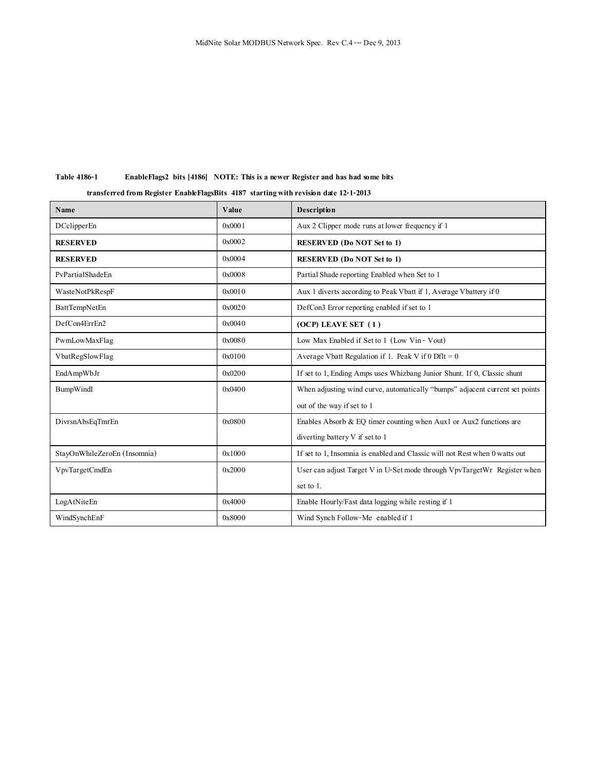## **Table 4186-1 EnableFlags2 bits [4186] NOTE: This is a newer Register and has had some bits**

 **transferred from Register EnableFlagsBits 4187 starting with revision date 12-1-2013**

| Name                         | Value  | <b>Description</b>                                                           |
|------------------------------|--------|------------------------------------------------------------------------------|
| <b>DCclipperEn</b>           | 0x0001 | Aux 2 Clipper mode runs at lower frequency if 1                              |
| <b>RESERVED</b>              | 0x0002 | <b>RESERVED (Do NOT Set to 1)</b>                                            |
| <b>RESERVED</b>              | 0x0004 | <b>RESERVED (Do NOT Set to 1)</b>                                            |
| PvPartialShadeEn             | 0x0008 | Partial Shade reporting Enabled when Set to 1                                |
| WasteNotPkRespF              | 0x0010 | Aux 1 diverts according to Peak Vbatt if 1, Average Vbattery if 0            |
| BattTempNetEn                | 0x0020 | DefCon3 Error reporting enabled if set to 1                                  |
| DefCon4ErrEn2                | 0x0040 | $(OCP)$ LEAVE SET $(1)$                                                      |
| PwmLowMaxFlag                | 0x0080 | Low Max Enabled if Set to 1 (Low Vin - Vout)                                 |
| VbatRegSlowFlag              | 0x0100 | Average Vbatt Regulation if 1. Peak V if $0$ Dflt = 0                        |
| EndAmpWbJr                   | 0x0200 | If set to 1, Ending Amps uses Whizbang Junior Shunt. If 0, Classic shunt     |
| BumpWindI                    | 0x0400 | When adjusting wind curve, automatically "bumps" adjacent current set points |
|                              |        | out of the way if set to 1                                                   |
| DivrsnAbsEqTmrEn             | 0x0800 | Enables Absorb & EQ timer counting when Aux1 or Aux2 functions are           |
|                              |        | diverting battery $V$ if set to 1                                            |
| StayOnWhileZeroEn (Insomnia) | 0x1000 | If set to 1, Insomnia is enabled and Classic will not Rest when 0 watts out  |
| VpvTargetCmdEn               | 0x2000 | User can adjust Target V in U-Set mode through VpvTargetWr Register when     |
|                              |        | set to 1.                                                                    |
| LogAtNiteEn                  | 0x4000 | Enable Hourly/Fast data logging while resting if 1                           |
| WindSynchEnF                 | 0x8000 | Wind Synch Follow-Me enabled if 1                                            |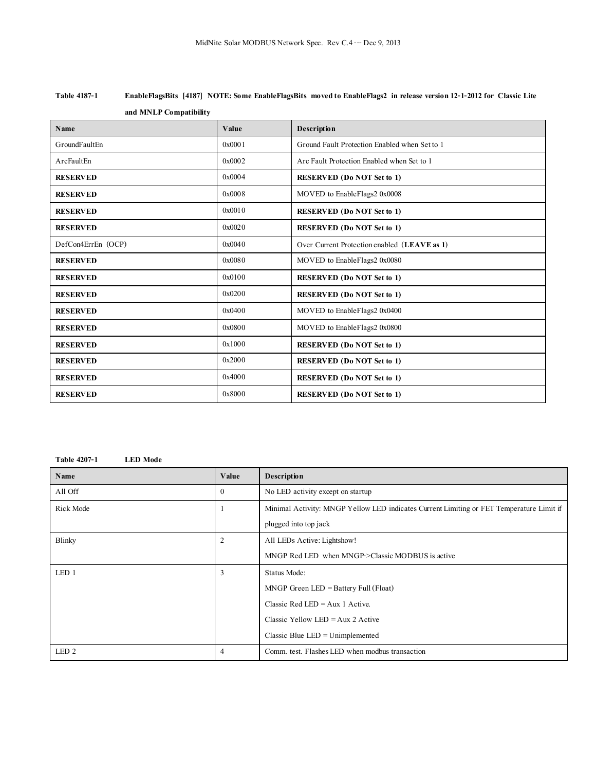| Table 4187-1 | EnableFlagsBits [4187] NOTE: Some EnableFlagsBits moved to EnableFlags2 in release version 12-1-2012 for Classic Lite |
|--------------|-----------------------------------------------------------------------------------------------------------------------|
|              | and MNLP Compatibility                                                                                                |

| Name               | Value  | Description                                   |
|--------------------|--------|-----------------------------------------------|
| GroundFaultEn      | 0x0001 | Ground Fault Protection Enabled when Set to 1 |
| ArcFaultEn         | 0x0002 | Arc Fault Protection Enabled when Set to 1    |
| <b>RESERVED</b>    | 0x0004 | <b>RESERVED</b> (Do NOT Set to 1)             |
| <b>RESERVED</b>    | 0x0008 | MOVED to EnableFlags2 0x0008                  |
| <b>RESERVED</b>    | 0x0010 | <b>RESERVED</b> (Do NOT Set to 1)             |
| <b>RESERVED</b>    | 0x0020 | <b>RESERVED</b> (Do NOT Set to 1)             |
| DefCon4ErrEn (OCP) | 0x0040 | Over Current Protection enabled (LEAVE as 1)  |
| <b>RESERVED</b>    | 0x0080 | MOVED to EnableFlags2 0x0080                  |
| <b>RESERVED</b>    | 0x0100 | <b>RESERVED</b> (Do NOT Set to 1)             |
| <b>RESERVED</b>    | 0x0200 | <b>RESERVED (Do NOT Set to 1)</b>             |
| <b>RESERVED</b>    | 0x0400 | MOVED to EnableFlags2 0x0400                  |
| <b>RESERVED</b>    | 0x0800 | MOVED to EnableFlags2 0x0800                  |
| <b>RESERVED</b>    | 0x1000 | <b>RESERVED</b> (Do NOT Set to 1)             |
| <b>RESERVED</b>    | 0x2000 | <b>RESERVED</b> (Do NOT Set to 1)             |
| <b>RESERVED</b>    | 0x4000 | <b>RESERVED</b> (Do NOT Set to 1)             |
| <b>RESERVED</b>    | 0x8000 | <b>RESERVED (Do NOT Set to 1)</b>             |

#### **Table 4207-1 LED Mode**

| Name             | Value    | Description                                                                              |
|------------------|----------|------------------------------------------------------------------------------------------|
| All Off          | $\theta$ | No LED activity except on startup                                                        |
| Rick Mode        |          | Minimal Activity: MNGP Yellow LED indicates Current Limiting or FET Temperature Limit if |
|                  |          | plugged into top jack                                                                    |
| Blinky           | 2        | All LEDs Active: Lightshow!                                                              |
|                  |          | MNGP Red LED when MNGP->Classic MODBUS is active                                         |
| LED 1            | 3        | Status Mode:                                                                             |
|                  |          | $MNGP$ Green LED = Battery Full (Float)                                                  |
|                  |          | Classic Red LED = $Aux 1$ Active.                                                        |
|                  |          | Classic Yellow LED = $Aux 2$ Active                                                      |
|                  |          | Classic Blue LED = Unimplemented                                                         |
| LED <sub>2</sub> | 4        | Comm. test. Flashes LED when modbus transaction                                          |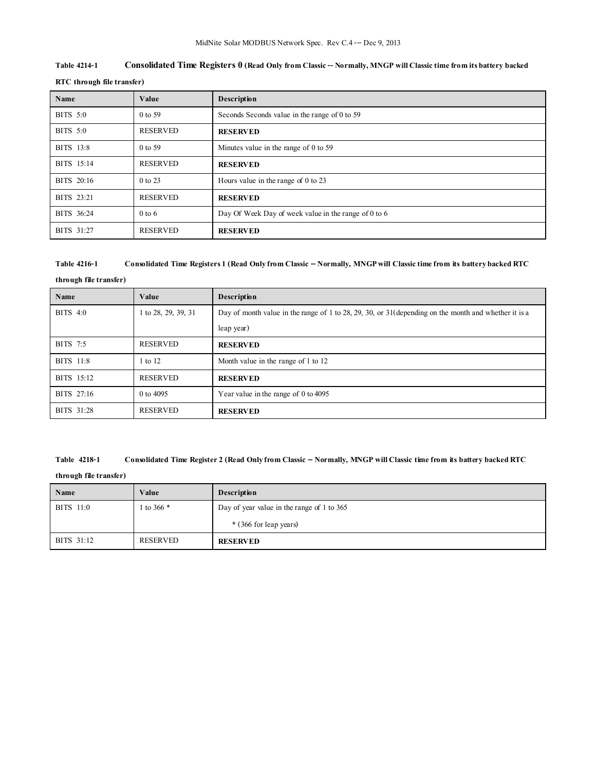## **Table 4214-1 Consolidated Time Registers0 (Read Only from Classic-- Normally, MNGP will Classic time from its battery backed**

| RTC through file transfer) |  |
|----------------------------|--|
|----------------------------|--|

| Name       | Value           | Description                                          |  |
|------------|-----------------|------------------------------------------------------|--|
| BITS 5:0   | 0 to 59         | Seconds Seconds value in the range of 0 to 59        |  |
| BITS 5:0   | <b>RESERVED</b> | <b>RESERVED</b>                                      |  |
| BITS 13:8  | 0 to 59         | Minutes value in the range of $0$ to 59              |  |
| BITS 15:14 | <b>RESERVED</b> | <b>RESERVED</b>                                      |  |
| BITS 20:16 | 0 to 23         | Hours value in the range of $0$ to 23                |  |
| BITS 23:21 | <b>RESERVED</b> | <b>RESERVED</b>                                      |  |
| BITS 36:24 | $0$ to 6        | Day Of Week Day of week value in the range of 0 to 6 |  |
| BITS 31:27 | <b>RESERVED</b> | <b>RESERVED</b>                                      |  |

### **Table 4216-1 Consolidated Time Registers 1 (Read Only from Classic -- Normally, MNGP will Classic time from its battery backed RTC**

**through file transfer)**

| Name       | Value               | Description                                                                                           |  |
|------------|---------------------|-------------------------------------------------------------------------------------------------------|--|
| BITS 4:0   | 1 to 28, 29, 39, 31 | Day of month value in the range of 1 to 28, 29, 30, or 31 (depending on the month and whether it is a |  |
|            |                     | leap year)                                                                                            |  |
| BITS 7:5   | RESERVED            | <b>RESERVED</b>                                                                                       |  |
| BITS 11:8  | 1 to 12             | Month value in the range of 1 to 12                                                                   |  |
| BITS 15:12 | <b>RESERVED</b>     | <b>RESERVED</b>                                                                                       |  |
| BITS 27:16 | 0 to 4095           | Year value in the range of $0$ to 4095                                                                |  |
| BITS 31:28 | <b>RESERVED</b>     | <b>RESERVED</b>                                                                                       |  |

#### **Table 4218-1 Consolidated Time Register 2 (Read Only from Classic -- Normally, MNGP will Classic time from its battery backed RTC**

**through file transfer)**

| Name       | Value      | <b>Description</b>                         |  |
|------------|------------|--------------------------------------------|--|
| BITS 11:0  | 1 to 366 * | Day of year value in the range of 1 to 365 |  |
|            |            | * (366 for leap years)                     |  |
| BITS 31:12 | RESERVED   | <b>RESERVED</b>                            |  |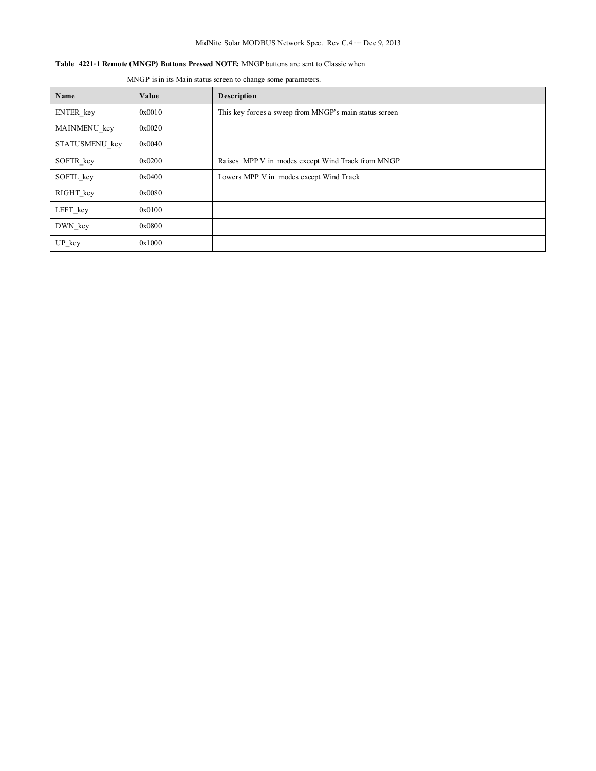## MidNite Solar MODBUS Network Spec. Rev C.4--- Dec 9, 2013

## **Table 4221-1 Remote (MNGP) Buttons Pressed NOTE:** MNGP buttons are sent to Classic when

MNGP is in its Main status screen to change some parameters.

| Name           | Value  | <b>Description</b>                                     |  |  |
|----------------|--------|--------------------------------------------------------|--|--|
| ENTER key      | 0x0010 | This key forces a sweep from MNGP's main status screen |  |  |
| MAINMENU key   | 0x0020 |                                                        |  |  |
| STATUSMENU key | 0x0040 |                                                        |  |  |
| SOFTR key      | 0x0200 | Raises MPP V in modes except Wind Track from MNGP      |  |  |
| SOFTL key      | 0x0400 | Lowers MPP V in modes except Wind Track                |  |  |
| RIGHT key      | 0x0080 |                                                        |  |  |
| LEFT key       | 0x0100 |                                                        |  |  |
| DWN key        | 0x0800 |                                                        |  |  |
| UP key         | 0x1000 |                                                        |  |  |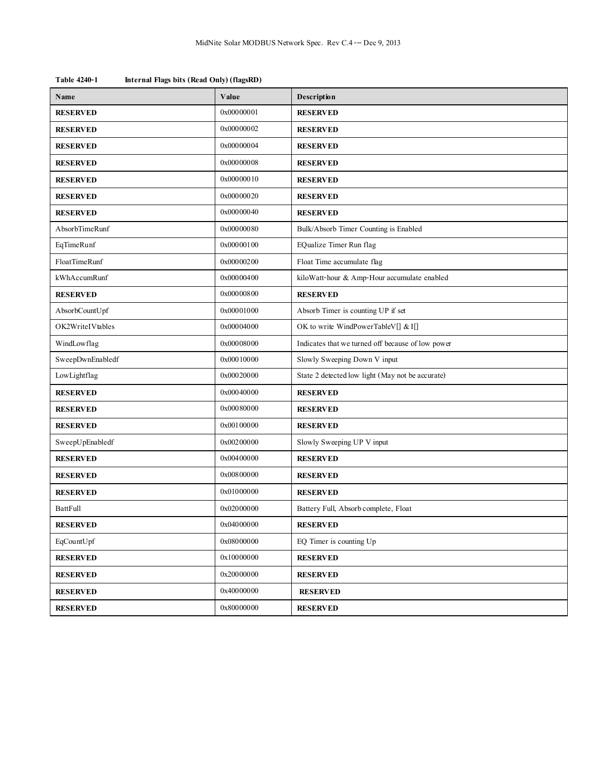| Name             | Value      | Description                                       |  |  |
|------------------|------------|---------------------------------------------------|--|--|
| <b>RESERVED</b>  | 0x00000001 | <b>RESERVED</b>                                   |  |  |
| <b>RESERVED</b>  | 0x00000002 | <b>RESERVED</b>                                   |  |  |
| <b>RESERVED</b>  | 0x00000004 | <b>RESERVED</b>                                   |  |  |
| <b>RESERVED</b>  | 0x00000008 | <b>RESERVED</b>                                   |  |  |
| <b>RESERVED</b>  | 0x00000010 | <b>RESERVED</b>                                   |  |  |
| <b>RESERVED</b>  | 0x00000020 | <b>RESERVED</b>                                   |  |  |
| <b>RESERVED</b>  | 0x00000040 | <b>RESERVED</b>                                   |  |  |
| AbsorbTimeRunf   | 0x00000080 | Bulk/Absorb Timer Counting is Enabled             |  |  |
| EqTimeRunf       | 0x00000100 | EQualize Timer Run flag                           |  |  |
| FloatTimeRunf    | 0x00000200 | Float Time accumulate flag                        |  |  |
| kWhAccumRunf     | 0x00000400 | kiloWatt-hour & Amp-Hour accumulate enabled       |  |  |
| <b>RESERVED</b>  | 0x00000800 | <b>RESERVED</b>                                   |  |  |
| AbsorbCountUpf   | 0x00001000 | Absorb Timer is counting UP if set                |  |  |
| OK2WriteIVtables | 0x00004000 | OK to write WindPowerTableV[] & I[]               |  |  |
| WindLowflag      | 0x00008000 | Indicates that we turned off because of low power |  |  |
| SweepDwnEnabledf | 0x00010000 | Slowly Sweeping Down V input                      |  |  |
| LowLightflag     | 0x00020000 | State 2 detected low light (May not be accurate)  |  |  |
| <b>RESERVED</b>  | 0x00040000 | <b>RESERVED</b>                                   |  |  |
| <b>RESERVED</b>  | 0x00080000 | <b>RESERVED</b>                                   |  |  |
| <b>RESERVED</b>  | 0x00100000 | <b>RESERVED</b>                                   |  |  |
| SweepUpEnabledf  | 0x00200000 | Slowly Sweeping UP V input                        |  |  |
| <b>RESERVED</b>  | 0x00400000 | <b>RESERVED</b>                                   |  |  |
| <b>RESERVED</b>  | 0x00800000 | <b>RESERVED</b>                                   |  |  |
| <b>RESERVED</b>  | 0x01000000 | <b>RESERVED</b>                                   |  |  |
| BattFull         | 0x02000000 | Battery Full, Absorb complete, Float              |  |  |
| <b>RESERVED</b>  | 0x04000000 | <b>RESERVED</b>                                   |  |  |
| EqCountUpf       | 0x08000000 | EQ Timer is counting Up                           |  |  |
| <b>RESERVED</b>  | 0x10000000 | <b>RESERVED</b>                                   |  |  |
| <b>RESERVED</b>  | 0x20000000 | <b>RESERVED</b>                                   |  |  |
| <b>RESERVED</b>  | 0x40000000 | <b>RESERVED</b>                                   |  |  |
| <b>RESERVED</b>  | 0x80000000 | <b>RESERVED</b>                                   |  |  |

**Table 4240-1 Internal Flags bits (Read Only) (flagsRD)**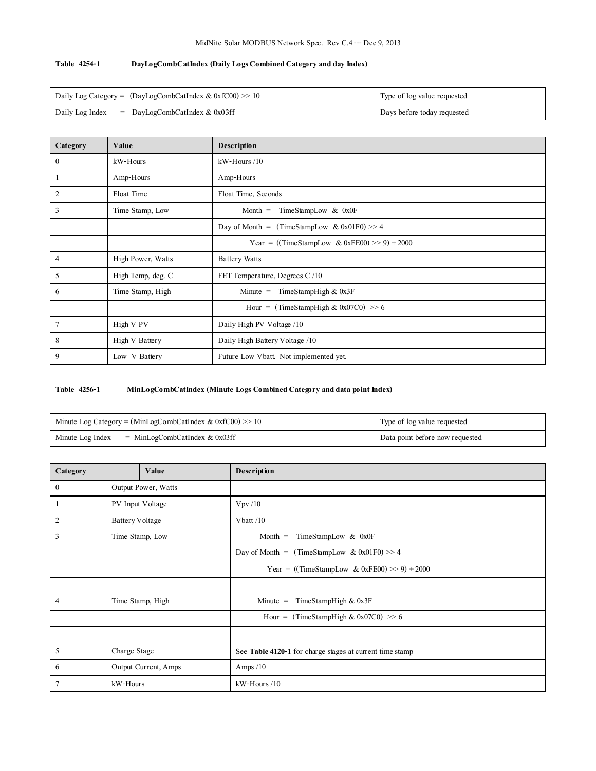## **Table 4254-1 DayLogCombCatIndex (Daily Logs Combined Category and day Index)**

| Daily Log Category = $(DayLogCombCathdex & (DxfC00) \gg 10$ | Type of log value requested |
|-------------------------------------------------------------|-----------------------------|
| Daily Log Index $=$ DayLogCombCatIndex & 0x03ff             | Days before today requested |

| Category       | Value             | Description                                   |  |  |
|----------------|-------------------|-----------------------------------------------|--|--|
| $\mathbf{0}$   | kW-Hours          | $kW$ -Hours $/10$                             |  |  |
| 1              | Amp-Hours         | Amp-Hours                                     |  |  |
| $\overline{2}$ | Float Time        | Float Time, Seconds                           |  |  |
| 3              | Time Stamp, Low   | TimeStampLow & 0x0F<br>$Month =$              |  |  |
|                |                   | Day of Month = $(TimeSampleow & 0x01F0) >> 4$ |  |  |
|                |                   | Year = ((TimeStampLow & 0xFE00) >> 9) + 2000  |  |  |
| $\overline{4}$ | High Power, Watts | <b>Battery Watts</b>                          |  |  |
| 5              | High Temp, deg. C | FET Temperature, Degrees C /10                |  |  |
| 6              | Time Stamp, High  | TimeStampHigh & 0x3F<br>$Minute =$            |  |  |
|                |                   | Hour = (TimeStampHigh & 0x07C0) >> 6          |  |  |
| 7              | High V PV         | Daily High PV Voltage /10                     |  |  |
| 8              | High V Battery    | Daily High Battery Voltage /10                |  |  |
| 9              | Low V Battery     | Future Low Vbatt. Not implemented yet.        |  |  |

## **Table 4256-1 MinLogCombCatIndex (Minute Logs Combined Category and data point Index)**

| Minute Log Category = (MinLogCombCatIndex $& 0 \times 100 \gg 10$ | Type of log value requested     |
|-------------------------------------------------------------------|---------------------------------|
| $=$ MinLogCombCatIndex & 0x03ff<br>Minute Log Index               | Data point before now requested |

| Category<br>Value |                        |                      | Description                                              |  |  |
|-------------------|------------------------|----------------------|----------------------------------------------------------|--|--|
| $\mathbf{0}$      | Output Power, Watts    |                      |                                                          |  |  |
| -1                | PV Input Voltage       |                      | VpV/10                                                   |  |  |
| $\overline{2}$    | <b>Battery Voltage</b> |                      | Vbatt $/10$                                              |  |  |
| 3                 |                        | Time Stamp, Low      | TimeStampLow & 0x0F<br>Month $=$                         |  |  |
|                   |                        |                      | Day of Month = $(TimeStampLow & 0x01F0) >> 4$            |  |  |
|                   |                        |                      | Year = ((TimeStampLow & 0xFE00) >> 9) + 2000             |  |  |
|                   |                        |                      |                                                          |  |  |
| 4                 | Time Stamp, High       |                      | TimeStampHigh & 0x3F<br>$Minute =$                       |  |  |
|                   |                        |                      | Hour = (TimeStampHigh & 0x07C0) >> 6                     |  |  |
|                   |                        |                      |                                                          |  |  |
| 5                 | Charge Stage           |                      | See Table 4120-1 for charge stages at current time stamp |  |  |
| 6                 |                        | Output Current, Amps | Amps $/10$                                               |  |  |
| $\tau$            | kW-Hours               |                      | $kW$ -Hours $/10$                                        |  |  |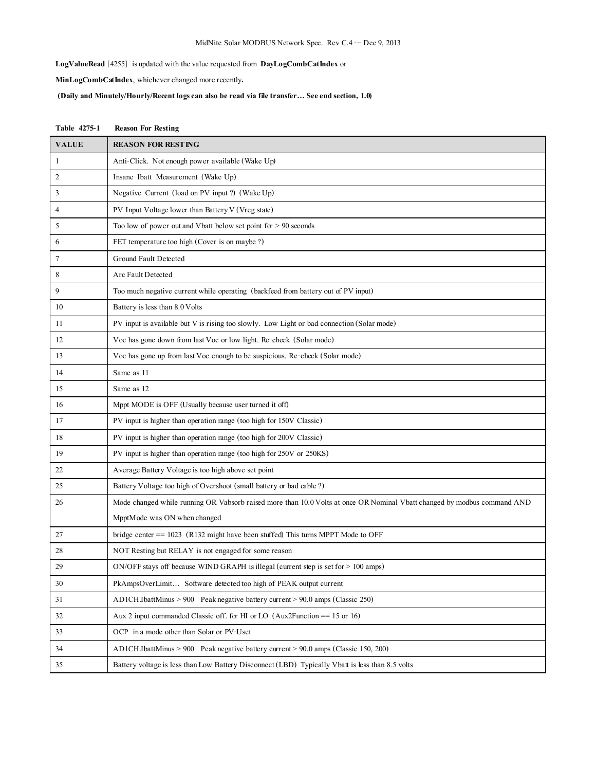## MidNite Solar MODBUS Network Spec. Rev C.4--- Dec 9, 2013

**LogValueRead** [4255] is updated with the value requested from **DayLogCombCatIndex** or

**MinLogCombCatIndex**, whichever changed more recently**.**

**(Daily and Minutely/Hourly/Recent logs can also be read via file transfer… See end section, 1.0)**

| Table 4275-1 | <b>Reason For Resting</b>                                                                                                |  |  |  |
|--------------|--------------------------------------------------------------------------------------------------------------------------|--|--|--|
| <b>VALUE</b> | <b>REASON FOR RESTING</b>                                                                                                |  |  |  |
| 1            | Anti-Click. Not enough power available (Wake Up)                                                                         |  |  |  |
| 2            | Insane Ibatt Measurement (Wake Up)                                                                                       |  |  |  |
| 3            | Negative Current (load on PV input ?) (Wake Up)                                                                          |  |  |  |
| 4            | PV Input Voltage lower than Battery V (Vreg state)                                                                       |  |  |  |
| 5            | Too low of power out and Vbatt below set point for $> 90$ seconds                                                        |  |  |  |
| 6            | FET temperature too high (Cover is on maybe ?)                                                                           |  |  |  |
| 7            | Ground Fault Detected                                                                                                    |  |  |  |
| 8            | Arc Fault Detected                                                                                                       |  |  |  |
| 9            | Too much negative current while operating (backfeed from battery out of PV input)                                        |  |  |  |
| 10           | Battery is less than 8.0 Volts                                                                                           |  |  |  |
| 11           | PV input is available but V is rising too slowly. Low Light or bad connection (Solar mode)                               |  |  |  |
| 12           | Voc has gone down from last Voc or low light. Re-check (Solar mode)                                                      |  |  |  |
| 13           | Voc has gone up from last Voc enough to be suspicious. Re-check (Solar mode)                                             |  |  |  |
| 14           | Same as 11                                                                                                               |  |  |  |
| 15           | Same as 12                                                                                                               |  |  |  |
| 16           | Mppt MODE is OFF (Usually because user turned it off)                                                                    |  |  |  |
| 17           | PV input is higher than operation range (too high for 150V Classic)                                                      |  |  |  |
| 18           | PV input is higher than operation range (too high for 200V Classic)                                                      |  |  |  |
| 19           | PV input is higher than operation range (too high for 250V or 250KS)                                                     |  |  |  |
| 22           | Average Battery Voltage is too high above set point                                                                      |  |  |  |
| 25           | Battery Voltage too high of Overshoot (small battery or bad cable ?)                                                     |  |  |  |
| 26           | Mode changed while running OR Vabsorb raised more than 10.0 Volts at once OR Nominal Vbatt changed by modbus command AND |  |  |  |
|              | MpptMode was ON when changed                                                                                             |  |  |  |
| 27           | bridge center $== 1023$ (R132 might have been stuffed) This turns MPPT Mode to OFF                                       |  |  |  |
| 28           | NOT Resting but RELAY is not engaged for some reason                                                                     |  |  |  |
| 29           | ON/OFF stays off because WIND GRAPH is illegal (current step is set for > 100 amps)                                      |  |  |  |
| 30           | PkAmpsOverLimit Software detected too high of PEAK output current                                                        |  |  |  |
| 31           | AD1CH.IbattMinus $> 900$ Peak negative battery current $> 90.0$ amps (Classic 250)                                       |  |  |  |
| 32           | Aux 2 input commanded Classic off. for HI or LO (Aux2Function $=$ 15 or 16)                                              |  |  |  |
| 33           | OCP in a mode other than Solar or PV-Uset                                                                                |  |  |  |
| 34           | AD1CH.IbattMinus > 900 Peak negative battery current > 90.0 amps (Classic 150, 200)                                      |  |  |  |
| 35           | Battery voltage is less than Low Battery Disconnect (LBD) Typically Vbatt is less than 8.5 volts                         |  |  |  |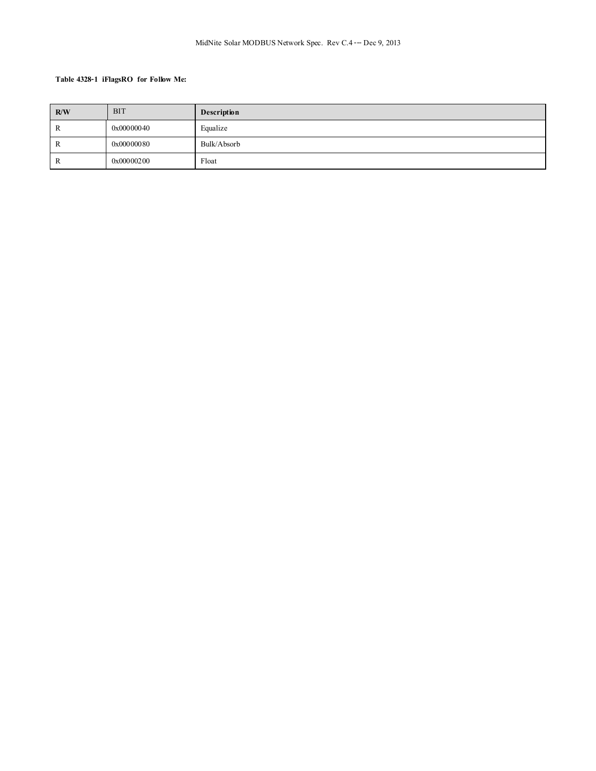#### **Table 4328-1 iFlagsRO for Follow Me:**

| R/W | <b>BIT</b> | <b>Description</b> |
|-----|------------|--------------------|
| R   | 0x00000040 | Equalize           |
| ĸ   | 0x00000080 | Bulk/Absorb        |
| R   | 0x00000200 | Float              |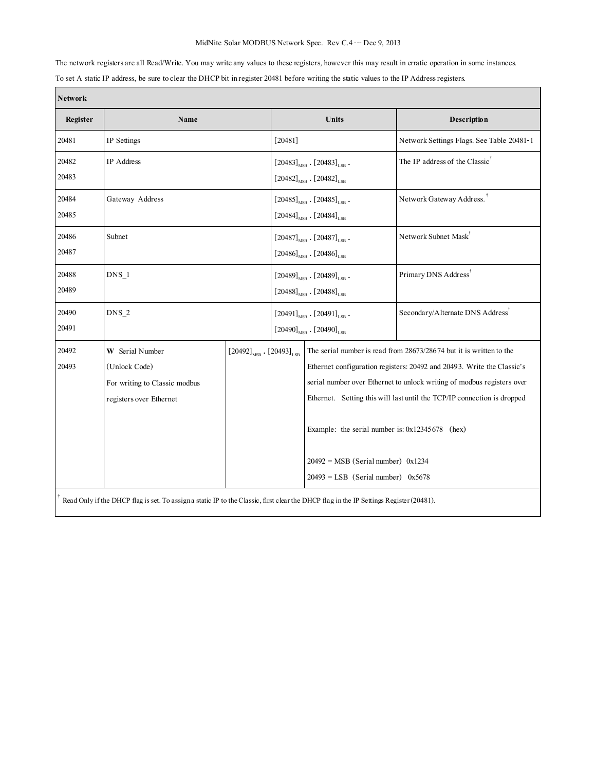## MidNite Solar MODBUS Network Spec. Rev C.4--- Dec 9, 2013

The network registers are all Read/Write. You may write any values to these registers, however this may result in erratic operation in some instances. To set A static IP address, be sure to clear the DHCP bit in register 20481 before writing the static values to the IP Address registers. Г

| <b>Network</b> |                                                                                                                                                                           |  |                                                                                                      |                                                                                                                                     |                                                                                                                                                                                                                                                                                                    |  |
|----------------|---------------------------------------------------------------------------------------------------------------------------------------------------------------------------|--|------------------------------------------------------------------------------------------------------|-------------------------------------------------------------------------------------------------------------------------------------|----------------------------------------------------------------------------------------------------------------------------------------------------------------------------------------------------------------------------------------------------------------------------------------------------|--|
| Register       | Name                                                                                                                                                                      |  |                                                                                                      | Units                                                                                                                               | Description                                                                                                                                                                                                                                                                                        |  |
| 20481          | IP Settings                                                                                                                                                               |  |                                                                                                      |                                                                                                                                     | Network Settings Flags. See Table 20481-1                                                                                                                                                                                                                                                          |  |
| 20482<br>20483 | <b>IP</b> Address                                                                                                                                                         |  | $[20483]_{\text{MSB}}$ . $[20483]_{\text{LSB}}$ .<br>$[20482]_{\text{MSB}}$ . $[20482]_{\text{LSB}}$ | The IP address of the Classic <sup>†</sup>                                                                                          |                                                                                                                                                                                                                                                                                                    |  |
| 20484<br>20485 | Gateway Address                                                                                                                                                           |  |                                                                                                      | $[20485]_{\text{MSB}}$ . $[20485]_{\text{LSB}}$ .<br>$\left[20484\right]_{\mathrm{MSB}}$ , $\left[20484\right]_{\mathrm{LSB}}$      | Network Gateway Address.                                                                                                                                                                                                                                                                           |  |
| 20486<br>20487 | Subnet                                                                                                                                                                    |  |                                                                                                      | $[20487]_{\text{MSB}}$ . $[20487]_{\text{LSB}}$ .<br>$[20486]_{\text{MSB}}$ . $[20486]_{\text{LSB}}$                                | Network Subnet Mask                                                                                                                                                                                                                                                                                |  |
| 20488<br>20489 | $DNS_1$                                                                                                                                                                   |  |                                                                                                      | $[20489]_{\text{MSB}}$ . $[20489]_{\text{LSB}}$ .<br>$[20488]_{\text{MSB}}$ . $[20488]_{\text{LSB}}$                                | Primary DNS Address <sup>†</sup>                                                                                                                                                                                                                                                                   |  |
| 20490<br>20491 | $DNS_2$                                                                                                                                                                   |  |                                                                                                      | $[20491]_{\text{MSB}}$ . $[20491]_{\text{LSB}}$ .<br>$[20490]_{\text{MSB}}$ . $[20490]_{\text{LSB}}$                                | Secondary/Alternate DNS Address'                                                                                                                                                                                                                                                                   |  |
| 20492<br>20493 | W Serial Number<br>$\left[20492\right]_{\mathrm{MSB}}$ . $\left[20493\right]_{\mathrm{LSB}}$<br>(Unlock Code)<br>For writing to Classic modbus<br>registers over Ethernet |  |                                                                                                      | Example: the serial number is: $0x12345678$ (hex)<br>$20492$ = MSB (Serial number) 0x1234<br>$20493 = LSB$ (Serial number) $0x5678$ | The serial number is read from 28673/28674 but it is written to the<br>Ethernet configuration registers: 20492 and 20493. Write the Classic's<br>serial number over Ethernet to unlock writing of modbus registers over<br>Ethernet. Setting this will last until the TCP/IP connection is dropped |  |
|                | Read Only if the DHCP flag is set. To assigna static IP to the Classic, first clear the DHCP flag in the IP Settings Register (20481).                                    |  |                                                                                                      |                                                                                                                                     |                                                                                                                                                                                                                                                                                                    |  |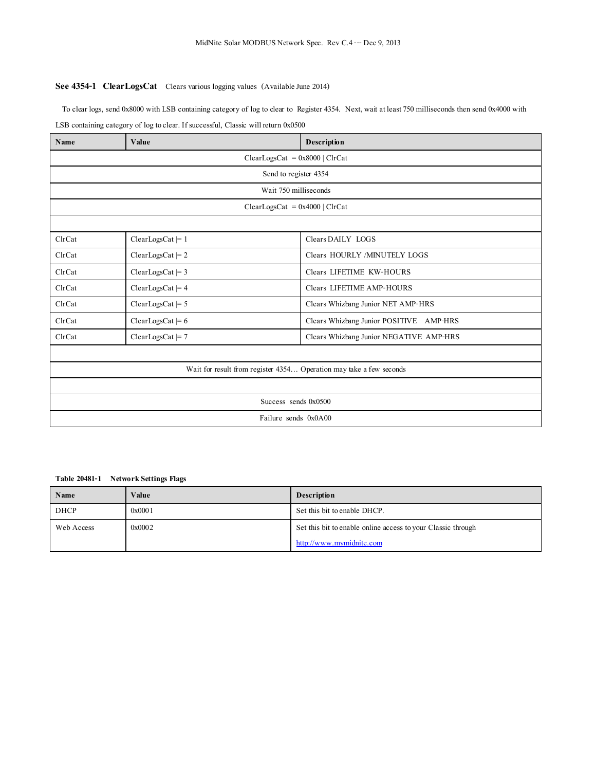## **See 4354-1 ClearLogsCat** Clears various logging values (Available June 2014)

 To clear logs, send 0x8000 with LSB containing category of log to clear to Register 4354. Next, wait at least 750 milliseconds then send 0x4000 with LSB containing category of log to clear. If successful, Classic will return 0x0500

| Name                                                                | Value                            | Description                             |  |  |
|---------------------------------------------------------------------|----------------------------------|-----------------------------------------|--|--|
|                                                                     | $ClearLossCat = 0x8000   ClrCat$ |                                         |  |  |
|                                                                     | Send to register 4354            |                                         |  |  |
|                                                                     | Wait 750 milliseconds            |                                         |  |  |
|                                                                     | $ClearLossCat = 0x4000   ClrCat$ |                                         |  |  |
|                                                                     |                                  |                                         |  |  |
| ClrCat                                                              | $ClearLossCat \models 1$         | Clears DAILY LOGS                       |  |  |
| ClrCat                                                              | $ClearLossCat \models 2$         | Clears HOURLY /MINUTELY LOGS            |  |  |
| ClrCat                                                              | $ClearLossCat \models 3$         | Clears LIFETIME KW-HOURS                |  |  |
| ClrCat                                                              | $ClearLossCat \models 4$         | Clears LIFETIME AMP-HOURS               |  |  |
| ClrCat                                                              | $ClearLossCat \models 5$         | Clears Whizbang Junior NET AMP-HRS      |  |  |
| ClrCat                                                              | $ClearLossCat \models 6$         | Clears Whizbang Junior POSITIVE AMP-HRS |  |  |
| ClrCat                                                              | $ClearLossCat \models 7$         | Clears Whizbang Junior NEGATIVE AMP-HRS |  |  |
|                                                                     |                                  |                                         |  |  |
| Wait for result from register 4354 Operation may take a few seconds |                                  |                                         |  |  |
|                                                                     |                                  |                                         |  |  |
| Success sends 0x0500                                                |                                  |                                         |  |  |
| Failure sends 0x0A00                                                |                                  |                                         |  |  |

### **Table 20481-1 Network Settings Flags**

| Name       | Value  | <b>Description</b>                                           |
|------------|--------|--------------------------------------------------------------|
| DHCP       | 0x0001 | Set this bit to enable DHCP.                                 |
| Web Access | 0x0002 | Set this bit to enable online access to your Classic through |
|            |        | http://www.mymidnite.com                                     |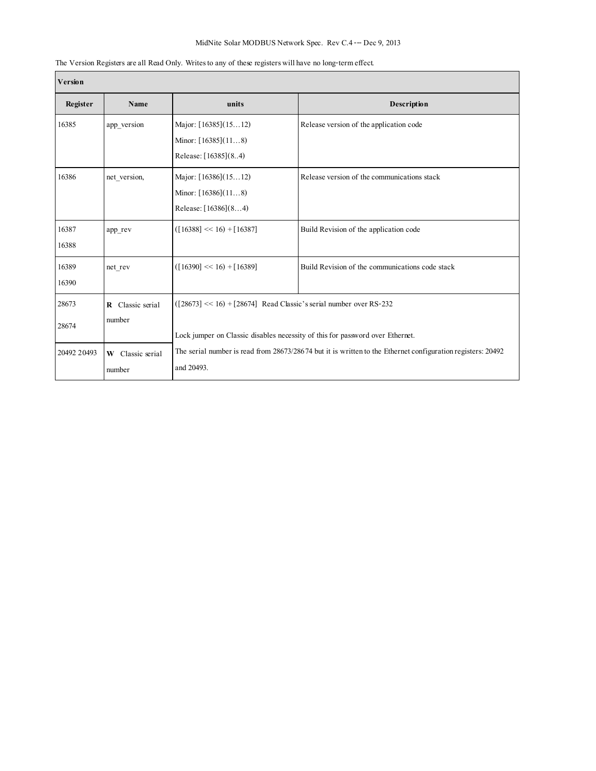## MidNite Solar MODBUS Network Spec. Rev C.4--- Dec 9, 2013

| Version        |                               |                                                                                                                                                       |                                                 |  |
|----------------|-------------------------------|-------------------------------------------------------------------------------------------------------------------------------------------------------|-------------------------------------------------|--|
| Register       | Name                          | units                                                                                                                                                 | Description                                     |  |
| 16385          | app version                   | Major: $[16385](1512)$<br>Minor: $[16385](118)$<br>Release: [16385](84)                                                                               | Release version of the application code         |  |
| 16386          | net version,                  | Major: $[16386](1512)$<br>Minor: $[16386](118)$<br>Release: [16386](84)                                                                               | Release version of the communications stack     |  |
| 16387<br>16388 | app_rev                       | $([16388] \ll 16) + [16387]$                                                                                                                          | Build Revision of the application code          |  |
| 16389<br>16390 | net rev                       | $([16390] \ll 16) + [16389]$                                                                                                                          | Build Revision of the communications code stack |  |
| 28673<br>28674 | R Classic serial<br>number    | $(28673 \leq 16) + [28674]$ Read Classic's serial number over RS-232<br>Lock jumper on Classic disables necessity of this for password over Ethernet. |                                                 |  |
| 20492 20493    | Classic serial<br>W<br>number | The serial number is read from 28673/28674 but it is written to the Ethernet configuration registers: 20492<br>and 20493.                             |                                                 |  |

## The Version Registers are all Read Only. Writes to any of these registers will have no long-term effect.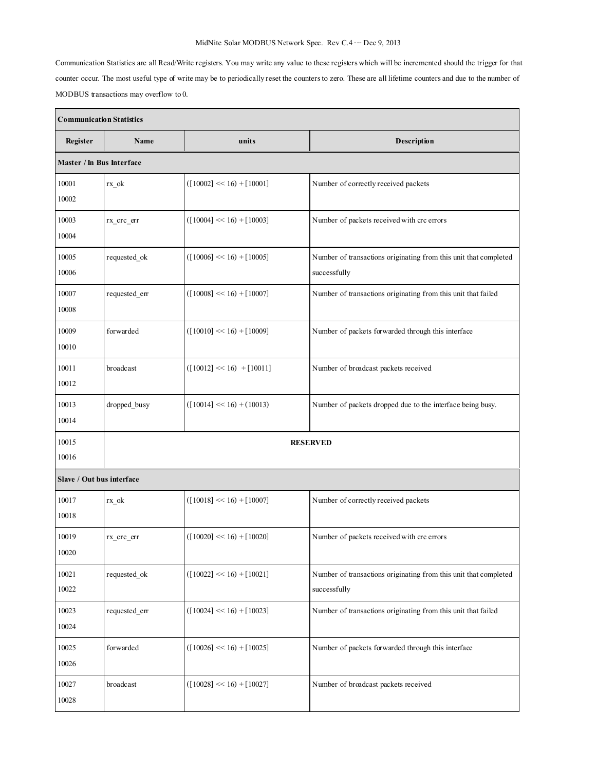## MidNite Solar MODBUS Network Spec. Rev C.4--- Dec 9, 2013

Communication Statistics are all Read/Write registers. You may write any value to these registers which will be incremented should the trigger for that counter occur. The most useful type of write may be to periodically reset the counters to zero. These are all lifetime counters and due to the number of MODBUS transactions may overflow to 0.

| <b>Communication Statistics</b> |                      |                              |                                                                                  |
|---------------------------------|----------------------|------------------------------|----------------------------------------------------------------------------------|
| Register                        | Name                 | units                        | Description                                                                      |
| Master / In Bus Interface       |                      |                              |                                                                                  |
| 10001<br>10002                  | rx ok                | $([10002] \ll 16) + [10001]$ | Number of correctly received packets                                             |
| 10003<br>10004                  | rx crc err           | $([10004] \ll 16) + [10003]$ | Number of packets received with crc errors                                       |
| 10005<br>10006                  | requested_ok         | $([10006] \le 16) + [10005]$ | Number of transactions originating from this unit that completed<br>successfully |
| 10007<br>10008                  | $\rm requested\_err$ | $([10008] \ll 16) + [10007]$ | Number of transactions originating from this unit that failed                    |
| 10009<br>10010                  | forwarded            | $([10010] \ll 16) + [10009]$ | Number of packets forwarded through this interface                               |
| 10011<br>10012                  | broadcast            | $([10012] \ll 16) + [10011]$ | Number of broadcast packets received                                             |
| 10013<br>10014                  | dropped_busy         | $([10014] \ll 16) + (10013)$ | Number of packets dropped due to the interface being busy.                       |
| 10015<br>10016                  | <b>RESERVED</b>      |                              |                                                                                  |
| Slave / Out bus interface       |                      |                              |                                                                                  |
| 10017<br>10018                  | $rx_0k$              | $([10018] \ll 16) + [10007]$ | Number of correctly received packets                                             |
| 10019<br>10020                  | rx_crc_err           | $([10020] \ll 16) + [10020]$ | Number of packets received with crc errors                                       |
| 10021<br>10022                  | requested ok         | $([10022] \ll 16) + [10021]$ | Number of transactions originating from this unit that completed<br>successfully |
| 10023<br>10024                  | requested_err        | $([10024] \ll 16) + [10023]$ | Number of transactions originating from this unit that failed                    |
| 10025<br>10026                  | forwarded            | $([10026] \ll 16) + [10025]$ | Number of packets forwarded through this interface                               |
| 10027<br>10028                  | broadcast            | $([10028] \ll 16) + [10027]$ | Number of broadcast packets received                                             |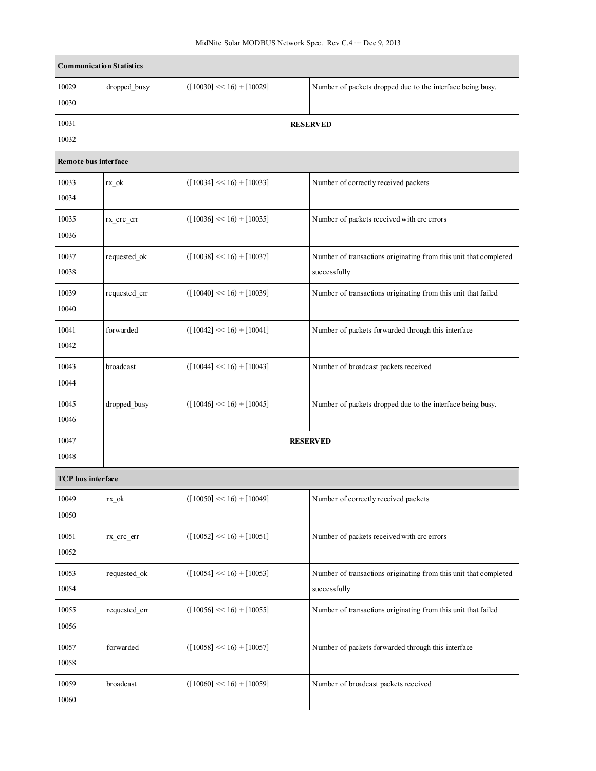|                          | <b>Communication Statistics</b> |                              |                                                                                  |  |
|--------------------------|---------------------------------|------------------------------|----------------------------------------------------------------------------------|--|
| 10029<br>10030           | dropped_busy                    | $([10030] \ll 16) + [10029]$ | Number of packets dropped due to the interface being busy.                       |  |
| 10031<br>10032           | <b>RESERVED</b>                 |                              |                                                                                  |  |
| Remote bus interface     |                                 |                              |                                                                                  |  |
| 10033<br>10034           | rx_ok                           | $([10034] \ll 16) + [10033]$ | Number of correctly received packets                                             |  |
| 10035<br>10036           | rx_crc_err                      | $([10036] \ll 16) + [10035]$ | Number of packets received with crc errors                                       |  |
| 10037<br>10038           | requested_ok                    | $([10038] \le 16) + [10037]$ | Number of transactions originating from this unit that completed<br>successfully |  |
| 10039<br>10040           | requested_err                   | $([10040] \ll 16) + [10039]$ | Number of transactions originating from this unit that failed                    |  |
| 10041<br>10042           | forwarded                       | $([10042] \le 16) + [10041]$ | Number of packets forwarded through this interface                               |  |
| 10043<br>10044           | broadcast                       | $([10044] \ll 16) + [10043]$ | Number of broadcast packets received                                             |  |
| 10045<br>10046           | dropped_busy                    | $([10046] \ll 16) + [10045]$ | Number of packets dropped due to the interface being busy.                       |  |
| 10047<br>10048           |                                 |                              | <b>RESERVED</b>                                                                  |  |
| <b>TCP</b> bus interface |                                 |                              |                                                                                  |  |
| 10049<br>10050           | rx_ok                           | $([10050] \ll 16) + [10049]$ | Number of correctly received packets                                             |  |
| 10051<br>10052           | rx_crc_err                      | $([10052] \ll 16) + [10051]$ | Number of packets received with crc errors                                       |  |
| 10053<br>10054           | requested ok                    | $([10054] \ll 16) + [10053]$ | Number of transactions originating from this unit that completed<br>successfully |  |
| 10055<br>10056           | requested_err                   | $([10056] \le 16) + [10055]$ | Number of transactions originating from this unit that failed                    |  |
| 10057<br>10058           | forwarded                       | $([10058] \ll 16) + [10057]$ | Number of packets forwarded through this interface                               |  |
| 10059<br>10060           | broadcast                       | $([10060] \ll 16) + [10059]$ | Number of broadcast packets received                                             |  |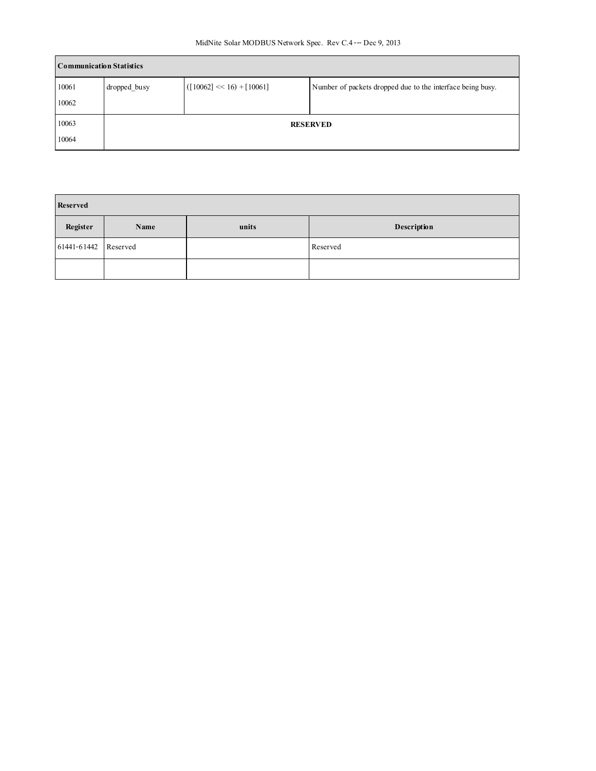| <b>Communication Statistics</b> |              |                              |                                                            |
|---------------------------------|--------------|------------------------------|------------------------------------------------------------|
| 10061                           | dropped busy | $([10062] \ll 16) + [10061]$ | Number of packets dropped due to the interface being busy. |
| 10062                           |              |                              |                                                            |
| 10063                           |              |                              | <b>RESERVED</b>                                            |
| 10064                           |              |                              |                                                            |

| Reserved             |      |       |             |  |
|----------------------|------|-------|-------------|--|
| Register             | Name | units | Description |  |
| 61441-61442 Reserved |      |       | Reserved    |  |
|                      |      |       |             |  |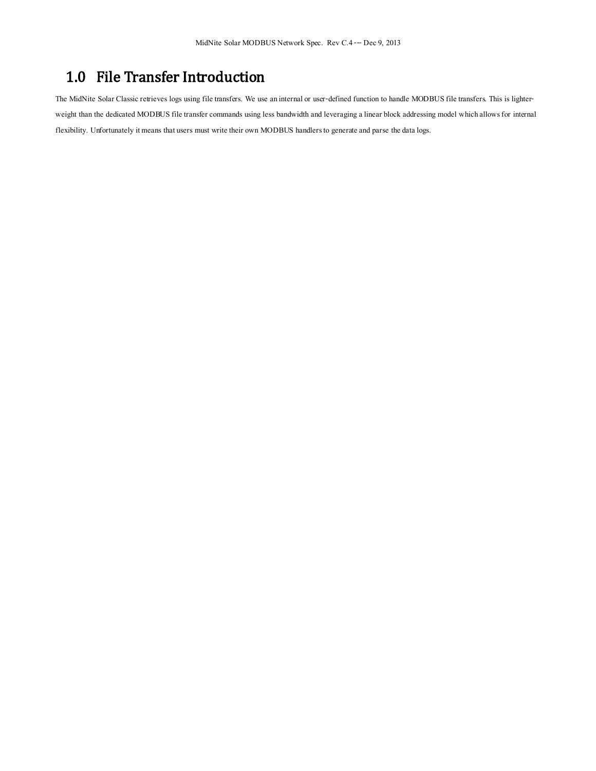# 1.0 File Transfer Introduction

The MidNite Solar Classic retrieves logs using file transfers. We use an internal or user-defined function to handle MODBUS file transfers. This is lighterweight than the dedicated MODBUS file transfer commands using less bandwidth and leveraging a linear block addressing model which allows for internal flexibility. Unfortunately it means that users must write their own MODBUS handlers to generate and parse the data logs.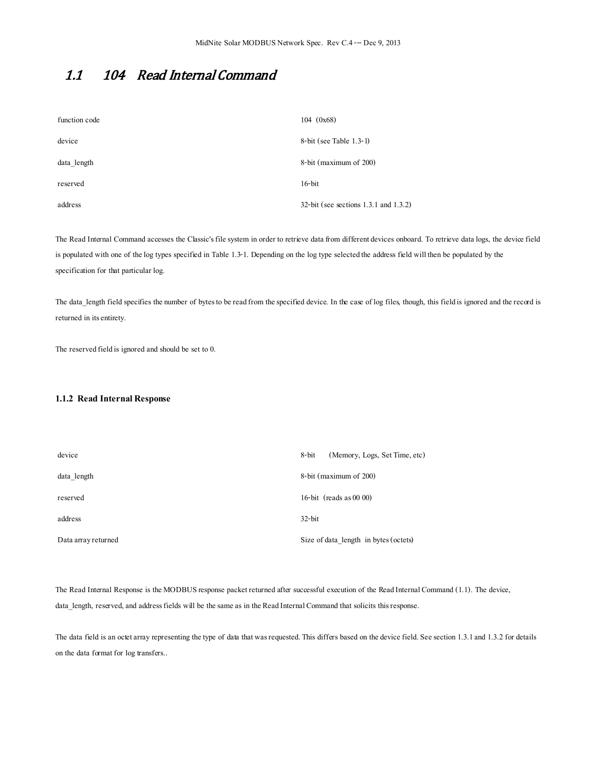## 1.1 104 Read Internal Command

| function code | $104 \ (0x68)$                           |
|---------------|------------------------------------------|
| device        | $8$ -bit (see Table 1.3-1)               |
| data length   | 8-bit (maximum of 200)                   |
| reserved      | $16$ -bit                                |
| address       | $32$ -bit (see sections 1.3.1 and 1.3.2) |

The Read Internal Command accesses the Classic's file system in order to retrieve data from different devices onboard. To retrieve data logs, the device field is populated with one of the log types specified in Table 1.3-1. Depending on the log type selected the address field will then be populated by the specification for that particular log.

The data\_length field specifies the number of bytes to be read from the specified device. In the case of log files, though, this field is ignored and the record is returned in its entirety.

The reserved field is ignored and should be set to 0.

#### **1.1.2 Read Internal Response**

| device              | (Memory, Logs, Set Time, etc)<br>8-bit |
|---------------------|----------------------------------------|
| data length         | 8-bit (maximum of 200)                 |
| reserved            | 16-bit (reads as $00\ 00$ )            |
| address             | $32$ -bit                              |
| Data array returned | Size of data length in bytes (octets)  |

The Read Internal Response is the MODBUS response packet returned after successful execution of the Read Internal Command (1.1). The device, data\_length, reserved, and address fields will be the same as in the Read Internal Command that solicits this response.

The data field is an octet array representing the type of data that was requested. This differs based on the device field. See section 1.3.1 and 1.3.2 for details on the data format for log transfers..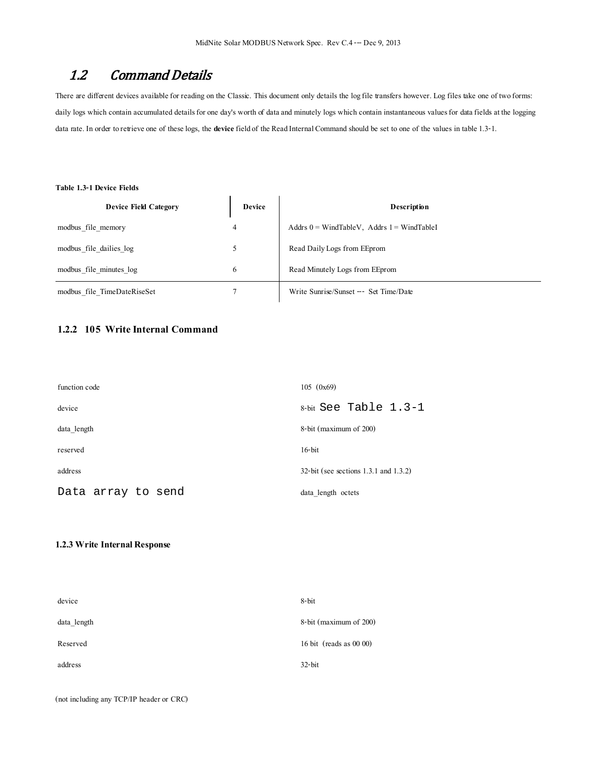## 1.2 Command Details

There are different devices available for reading on the Classic. This document only details the log file transfers however. Log files take one of two forms: daily logs which contain accumulated details for one day's worth of data and minutely logs which contain instantaneous values for data fields at the logging data rate. In order to retrieve one of these logs, the **device**field of the Read Internal Command should be set to one of the values in table 1.3-1.

#### **Table 1.3-1 Device Fields**

| <b>Device Field Category</b> | Device | <b>Description</b>                              |  |
|------------------------------|--------|-------------------------------------------------|--|
| modbus file memory           | 4      | Addrs $0 = WindTableV$ , Addrs $1 = WindTableI$ |  |
| modbus file dailies log      | 5      | Read Daily Logs from EEprom                     |  |
| modbus file minutes log      | 6      | Read Minutely Logs from EEprom                  |  |
| modbus file TimeDateRiseSet  |        | Write Sunrise/Sunset -- Set Time/Date           |  |

## **1.2.2 105 Write Internal Command**

| function code      | 105(0x69)                                |
|--------------------|------------------------------------------|
| device             | 8-bit See Table $1.3-1$                  |
| data length        | 8-bit (maximum of 200)                   |
| reserved           | $16$ -bit                                |
| address            | $32$ -bit (see sections 1.3.1 and 1.3.2) |
| Data array to send | data length octets                       |

#### **1.2.3 Write Internal Response**

| device      | 8-bit                     |
|-------------|---------------------------|
| data length | 8-bit (maximum of 200)    |
| Reserved    | 16 bit (reads as $0000$ ) |
| address     | $32$ -bit                 |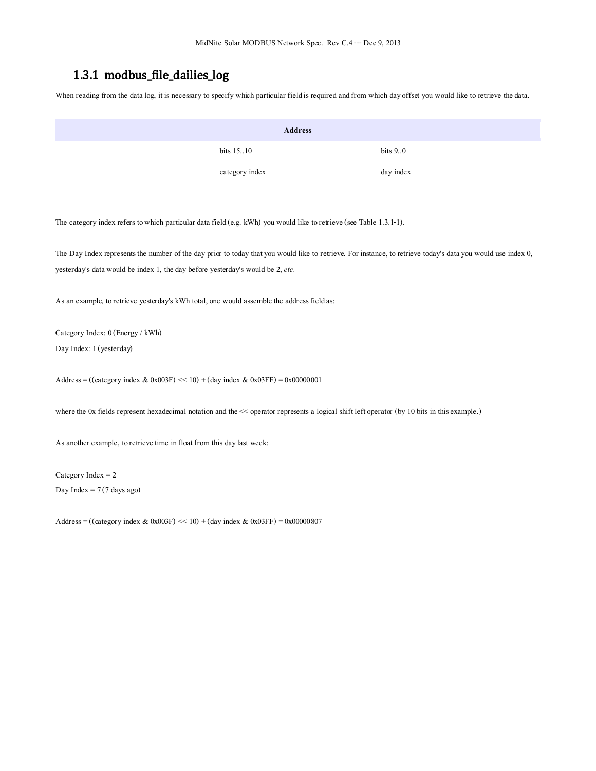## 1.3.1 modbus\_file\_dailies\_log

When reading from the data log, it is necessary to specify which particular field is required and from which day offset you would like to retrieve the data.

|            | <b>Address</b> |            |
|------------|----------------|------------|
| bits 15.10 |                | bits $9.0$ |
|            | category index | day index  |

The category index refers to which particular data field (e.g. kWh) you would like to retrieve (see Table 1.3.1-1).

The Day Index represents the number of the day prior to today that you would like to retrieve. For instance, to retrieve today's data you would use index 0, yesterday's data would be index 1, the day before yesterday's would be 2, *etc.*

As an example, to retrieve yesterday's kWh total, one would assemble the address field as:

Category Index: 0 (Energy / kWh)

Day Index: 1 (yesterday)

Address = ((category index & 0x003F) << 10) + (day index & 0x03FF) = 0x00000001

where the 0x fields represent hexadecimal notation and the << operator represents a logical shift left operator (by 10 bits in this example.)

As another example, to retrieve time in float from this day last week:

Category Index = 2 Day Index  $= 7(7 \text{ days ago})$ 

Address = ((category index  $& 0x003F$ ) << 10) + (day index  $& 0x03FF$ ) = 0x00000807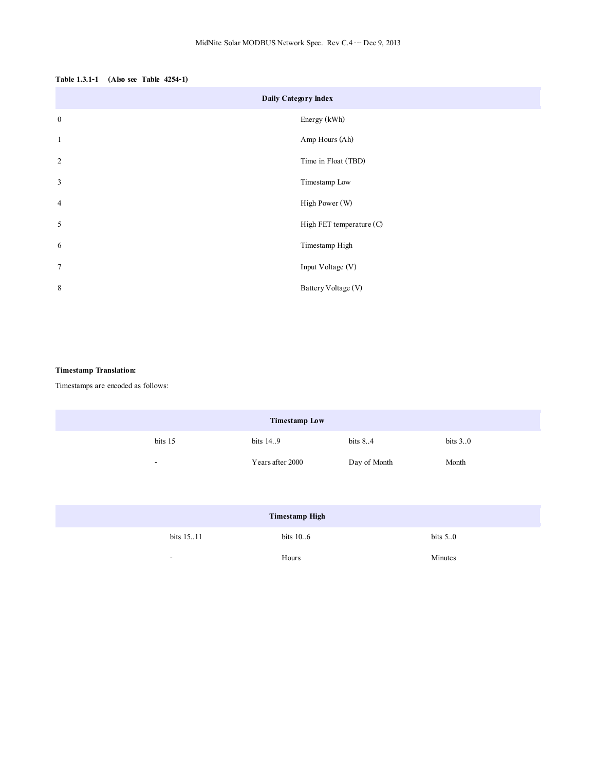| Table 1.3.1-1 (Also see Table 4254-1) |  |  |  |
|---------------------------------------|--|--|--|
|---------------------------------------|--|--|--|

| Daily Category Index |                          |  |  |
|----------------------|--------------------------|--|--|
| $\boldsymbol{0}$     | Energy (kWh)             |  |  |
| $\mathbf{1}$         | Amp Hours (Ah)           |  |  |
| 2                    | Time in Float (TBD)      |  |  |
| $\overline{3}$       | Timestamp Low            |  |  |
| $\overline{4}$       | High Power (W)           |  |  |
| $\mathfrak{H}$       | High FET temperature (C) |  |  |
| 6                    | Timestamp High           |  |  |
| $\overline{7}$       | Input Voltage (V)        |  |  |
| $\,$ 8 $\,$          | Battery Voltage (V)      |  |  |

## **Timestamp Translation:**

Timestamps are encoded as follows:

| <b>Timestamp Low</b> |         |                  |              |            |
|----------------------|---------|------------------|--------------|------------|
|                      | bits 15 | bits 14.9        | bits $8.4$   | bits $3.0$ |
|                      | -       | Years after 2000 | Day of Month | Month      |
|                      |         |                  |              |            |

| <b>Timestamp High</b>    |             |            |  |
|--------------------------|-------------|------------|--|
| bits 1511                | bits $10.6$ | bits $5.0$ |  |
| $\overline{\phantom{a}}$ | Hours       | Minutes    |  |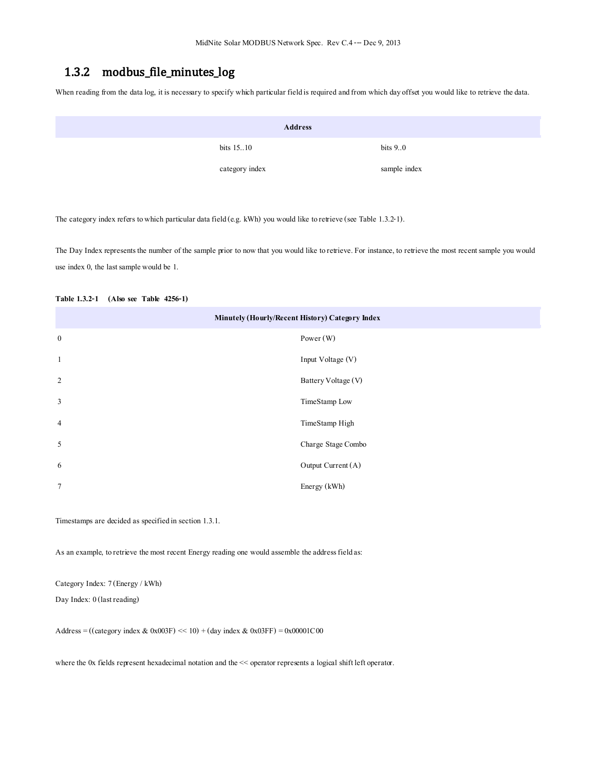## 1.3.2 modbus\_file\_minutes\_log

When reading from the data log, it is necessary to specify which particular field is required and from which day offset you would like to retrieve the data.

| <b>Address</b> |                |              |  |
|----------------|----------------|--------------|--|
|                | bits 1510      | bits $9.0$   |  |
|                | category index | sample index |  |

The category index refers to which particular data field (e.g. kWh) you would like to retrieve (see Table 1.3.2-1).

The Day Index represents the number of the sample prior to now that you would like to retrieve. For instance, to retrieve the most recent sample you would use index 0, the last sample would be 1.

| Minutely (Hourly/Recent History) Category Index |                     |  |  |
|-------------------------------------------------|---------------------|--|--|
| $\mathbf{0}$                                    | Power (W)           |  |  |
| $\mathbf{1}$                                    | Input Voltage (V)   |  |  |
| 2                                               | Battery Voltage (V) |  |  |
| $\mathbf{3}$                                    | TimeStamp Low       |  |  |
| $\overline{4}$                                  | TimeStamp High      |  |  |
| 5                                               | Charge Stage Combo  |  |  |
| 6                                               | Output Current (A)  |  |  |
| $\tau$                                          | Energy (kWh)        |  |  |
|                                                 |                     |  |  |

#### **Table 1.3.2-1 (Also see Table 4256-1)**

Timestamps are decided as specified in section 1.3.1.

As an example, to retrieve the most recent Energy reading one would assemble the address field as:

Category Index: 7 (Energy / kWh)

Day Index: 0 (last reading)

Address = ((category index & 0x003F) << 10) + (day index & 0x03FF) = 0x00001C00

where the 0x fields represent hexadecimal notation and the << operator represents a logical shift left operator.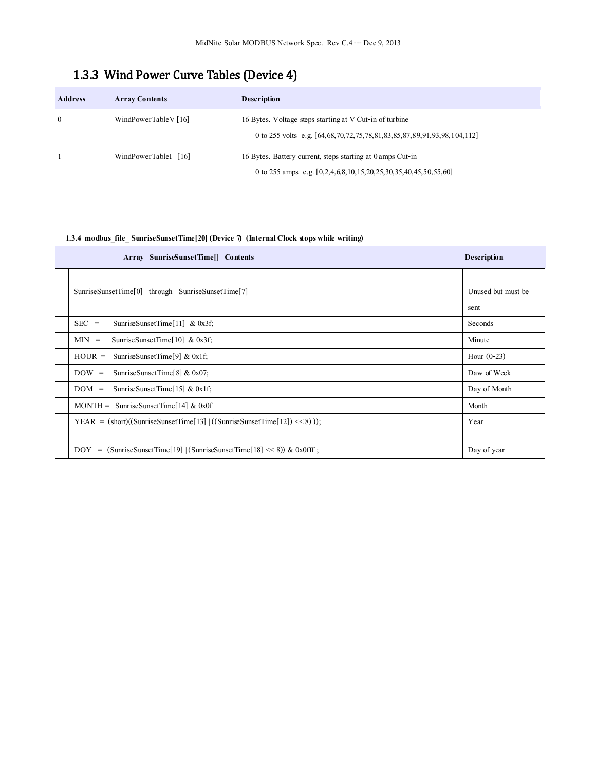# 1.3.3 Wind Power Curve Tables (Device 4)

| <b>Address</b> | <b>Array Contents</b> | <b>Description</b>                                                                                                                 |
|----------------|-----------------------|------------------------------------------------------------------------------------------------------------------------------------|
| $\theta$       | WindPowerTableV [16]  | 16 Bytes. Voltage steps starting at V Cut-in of turbine<br>0 to 255 volts e.g. [64,68,70,72,75,78,81,83,85,87,89,91,93,98,104,112] |
|                | WindPowerTableI [16]  | 16 Bytes. Battery current, steps starting at 0 amps Cut-in<br>0 to 255 amps e.g. [0,2,4,6,8,10,15,20,25,30,35,40,45,50,55,60]      |

## **1.3.4 modbus\_file\_SunriseSunsetTime[20] (Device 7) (Internal Clock stops while writing)**

| Array SunriseSunsetTime[] Contents                                                                                                    | <b>Description</b>         |
|---------------------------------------------------------------------------------------------------------------------------------------|----------------------------|
| SunriseSunsetTime[0] through SunriseSunsetTime[7]                                                                                     | Unused but must be<br>sent |
| $SEC =$<br>Sunrise Sunset Time $[11]$ & 0x3f;                                                                                         | Seconds                    |
| SunriseSunsetTime[ $10$ ] & 0x3f;<br>$MIN =$                                                                                          | Minute                     |
| Sunrise Sunset Time [9] & $0x1f$ ;<br>$HOUR =$                                                                                        | Hour $(0-23)$              |
| SunriseSunsetTime[8] & $0x07$ ;<br>$DOW =$                                                                                            | Daw of Week                |
| Sunrise Sunset Time $[15]$ & 0x1f;<br>$DOM =$                                                                                         | Day of Month               |
| MONTH = SunriseSunsetTime [14] & 0x0f                                                                                                 | Month                      |
| YEAR = $(\text{short})((\text{Sunrise} \text{Sunset} \text{Time} [13]   ((\text{Sunrise} \text{Sunset} \text{Time} [12]) \ll 8))))$ ; | Year                       |
| $=$ (SunriseSunsetTime[19]   (SunriseSunsetTime[18] << 8)) & 0x0fff;<br>DOY                                                           | Day of year                |